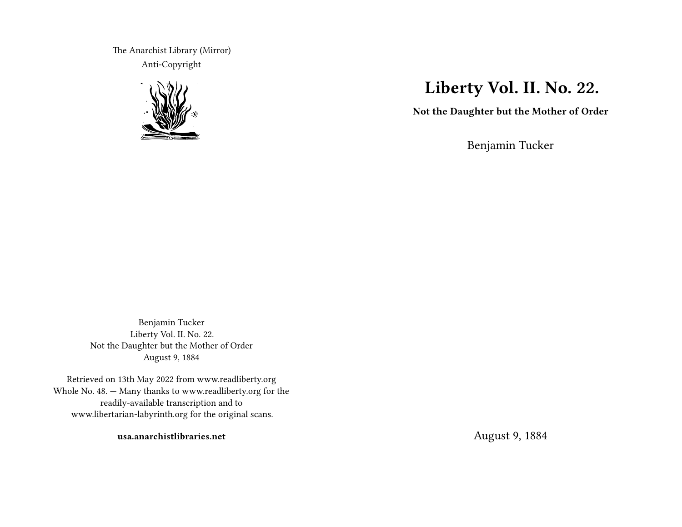The Anarchist Library (Mirror) Anti-Copyright



# **Liberty Vol. II. No. 22.**

**Not the Daughter but the Mother of Order**

Benjamin Tucker

Benjamin Tucker Liberty Vol. II. No. 22. Not the Daughter but the Mother of Order August 9, 1884

Retrieved on 13th May 2022 from www.readliberty.org Whole No. 48. — Many thanks to www.readliberty.org for the readily-available transcription and to www.libertarian-labyrinth.org for the original scans.

**usa.anarchistlibraries.net**

August 9, 1884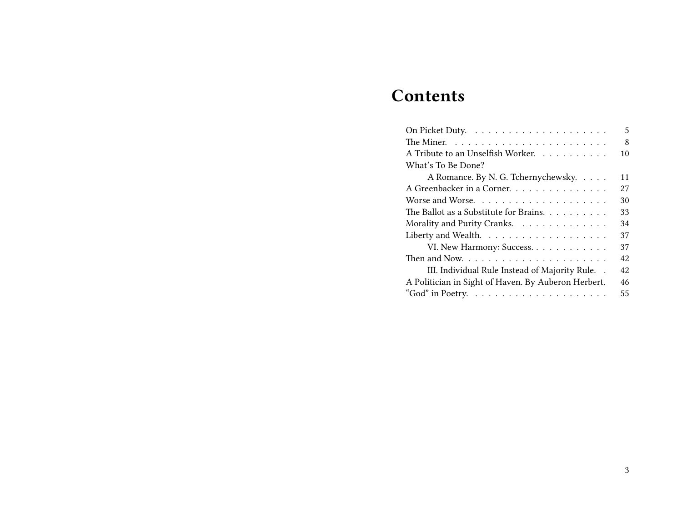# **Contents**

|                                                     | 5  |
|-----------------------------------------------------|----|
|                                                     | 8  |
| A Tribute to an Unselfish Worker.                   | 10 |
| What's To Be Done?                                  |    |
| A Romance. By N. G. Tchernychewsky.                 | 11 |
| A Greenbacker in a Corner.                          | 27 |
|                                                     | 30 |
| The Ballot as a Substitute for Brains.              | 33 |
| Morality and Purity Cranks.                         | 34 |
| Liberty and Wealth.                                 | 37 |
| VI. New Harmony: Success.                           | 37 |
|                                                     | 42 |
| III. Individual Rule Instead of Majority Rule       | 42 |
| A Politician in Sight of Haven. By Auberon Herbert. | 46 |
|                                                     | 55 |
|                                                     |    |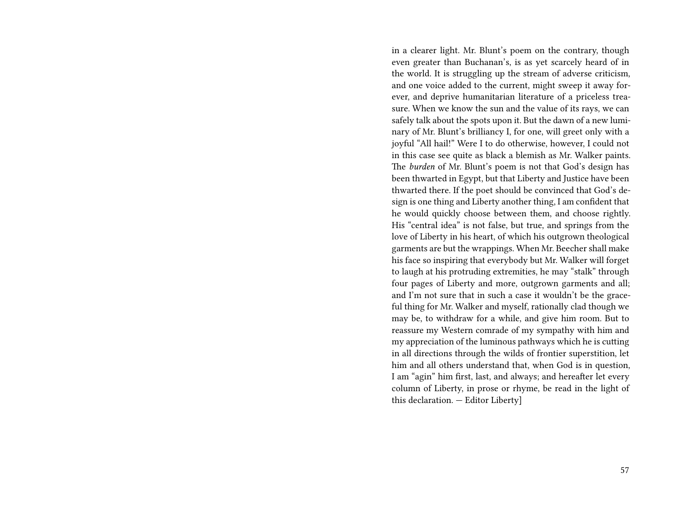in a clearer light. Mr. Blunt's poem on the contrary, though even greater than Buchanan's, is as yet scarcely heard of in the world. It is struggling up the stream of adverse criticism, and one voice added to the current, might sweep it away forever, and deprive humanitarian literature of a priceless treasure. When we know the sun and the value of its rays, we can safely talk about the spots upon it. But the dawn of a new luminary of Mr. Blunt's brilliancy I, for one, will greet only with a joyful "All hail!" Were I to do otherwise, however, I could not in this case see quite as black a blemish as Mr. Walker paints. The *burden* of Mr. Blunt's poem is not that God's design has been thwarted in Egypt, but that Liberty and Justice have been thwarted there. If the poet should be convinced that God's design is one thing and Liberty another thing, I am confident that he would quickly choose between them, and choose rightly. His "central idea" is not false, but true, and springs from the love of Liberty in his heart, of which his outgrown theological garments are but the wrappings. When Mr. Beecher shall make his face so inspiring that everybody but Mr. Walker will forget to laugh at his protruding extremities, he may "stalk" through four pages of Liberty and more, outgrown garments and all; and I'm not sure that in such a case it wouldn't be the graceful thing for Mr. Walker and myself, rationally clad though we may be, to withdraw for a while, and give him room. But to reassure my Western comrade of my sympathy with him and my appreciation of the luminous pathways which he is cutting in all directions through the wilds of frontier superstition, let him and all others understand that, when God is in question, I am "agin" him first, last, and always; and hereafter let every column of Liberty, in prose or rhyme, be read in the light of this declaration. — Editor Liberty]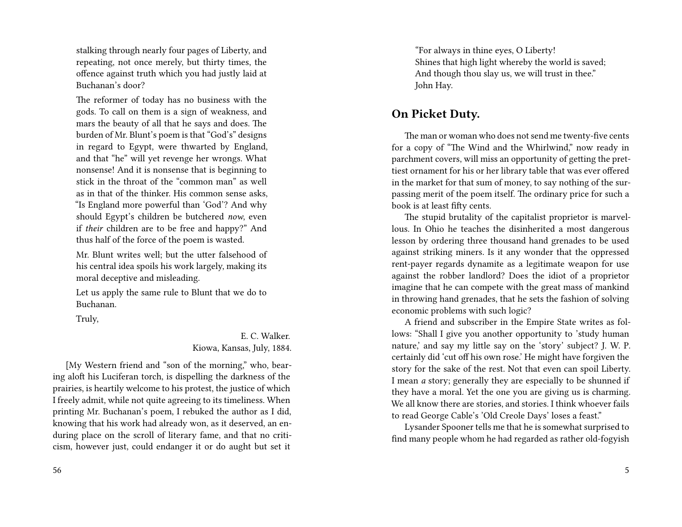stalking through nearly four pages of Liberty, and repeating, not once merely, but thirty times, the offence against truth which you had justly laid at Buchanan's door?

The reformer of today has no business with the gods. To call on them is a sign of weakness, and mars the beauty of all that he says and does. The burden of Mr. Blunt's poem is that "God's" designs in regard to Egypt, were thwarted by England, and that "he" will yet revenge her wrongs. What nonsense! And it is nonsense that is beginning to stick in the throat of the "common man" as well as in that of the thinker. His common sense asks, "Is England more powerful than 'God'? And why should Egypt's children be butchered *now*, even if *their* children are to be free and happy?" And thus half of the force of the poem is wasted.

Mr. Blunt writes well; but the utter falsehood of his central idea spoils his work largely, making its moral deceptive and misleading.

Let us apply the same rule to Blunt that we do to Buchanan.

Truly,

### E. C. Walker. Kiowa, Kansas, July, 1884.

[My Western friend and "son of the morning," who, bearing aloft his Luciferan torch, is dispelling the darkness of the prairies, is heartily welcome to his protest, the justice of which I freely admit, while not quite agreeing to its timeliness. When printing Mr. Buchanan's poem, I rebuked the author as I did, knowing that his work had already won, as it deserved, an enduring place on the scroll of literary fame, and that no criticism, however just, could endanger it or do aught but set it

"For always in thine eyes, O Liberty! Shines that high light whereby the world is saved; And though thou slay us, we will trust in thee." John Hay.

# **On Picket Duty.**

The man or woman who does not send me twenty-five cents for a copy of "The Wind and the Whirlwind," now ready in parchment covers, will miss an opportunity of getting the prettiest ornament for his or her library table that was ever offered in the market for that sum of money, to say nothing of the surpassing merit of the poem itself. The ordinary price for such a book is at least fifty cents.

The stupid brutality of the capitalist proprietor is marvellous. In Ohio he teaches the disinherited a most dangerous lesson by ordering three thousand hand grenades to be used against striking miners. Is it any wonder that the oppressed rent-payer regards dynamite as a legitimate weapon for use against the robber landlord? Does the idiot of a proprietor imagine that he can compete with the great mass of mankind in throwing hand grenades, that he sets the fashion of solving economic problems with such logic?

A friend and subscriber in the Empire State writes as follows: "Shall I give you another opportunity to 'study human nature,' and say my little say on the 'story' subject? J. W. P. certainly did 'cut off his own rose.' He might have forgiven the story for the sake of the rest. Not that even can spoil Liberty. I mean *a* story; generally they are especially to be shunned if they have a moral. Yet the one you are giving us is charming. We all know there are stories, and stories. I think whoever fails to read George Cable's 'Old Creole Days' loses a feast."

Lysander Spooner tells me that he is somewhat surprised to find many people whom he had regarded as rather old-fogyish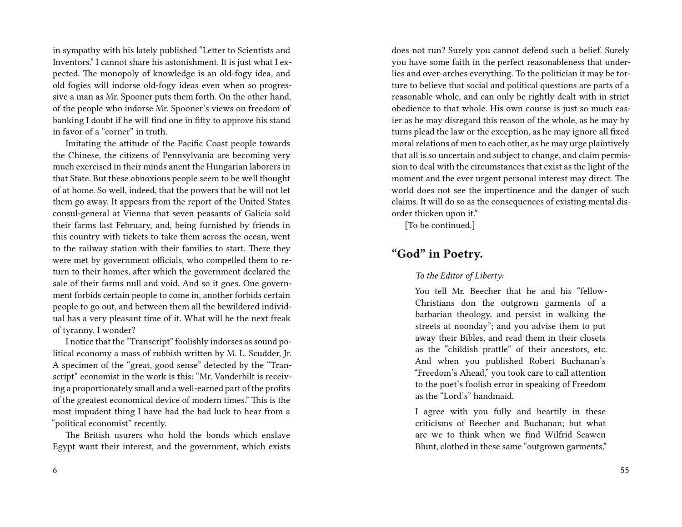in sympathy with his lately published "Letter to Scientists and Inventors." I cannot share his astonishment. It is just what I expected. The monopoly of knowledge is an old-fogy idea, and old fogies will indorse old-fogy ideas even when so progressive a man as Mr. Spooner puts them forth. On the other hand, of the people who indorse Mr. Spooner's views on freedom of banking I doubt if he will find one in fifty to approve his stand in favor of a "corner" in truth.

Imitating the attitude of the Pacific Coast people towards the Chinese, the citizens of Pennsylvania are becoming very much exercised in their minds anent the Hungarian laborers in that State. But these obnoxious people seem to be well thought of at home. So well, indeed, that the powers that be will not let them go away. It appears from the report of the United States consul-general at Vienna that seven peasants of Galicia sold their farms last February, and, being furnished by friends in this country with tickets to take them across the ocean, went to the railway station with their families to start. There they were met by government officials, who compelled them to return to their homes, after which the government declared the sale of their farms null and void. And so it goes. One government forbids certain people to come in, another forbids certain people to go out, and between them all the bewildered individual has a very pleasant time of it. What will be the next freak of tyranny, I wonder?

I notice that the "Transcript" foolishly indorses as sound political economy a mass of rubbish written by M. L. Scudder, Jr. A specimen of the "great, good sense" detected by the "Transcript" economist in the work is this: "Mr. Vanderbilt is receiving a proportionately small and a well-earned part of the profits of the greatest economical device of modern times." This is the most impudent thing I have had the bad luck to hear from a "political economist" recently.

The British usurers who hold the bonds which enslave Egypt want their interest, and the government, which exists does not run? Surely you cannot defend such a belief. Surely you have some faith in the perfect reasonableness that underlies and over-arches everything. To the politician it may be torture to believe that social and political questions are parts of a reasonable whole, and can only be rightly dealt with in strict obedience to that whole. His own course is just so much easier as he may disregard this reason of the whole, as he may by turns plead the law or the exception, as he may ignore all fixed moral relations of men to each other, as he may urge plaintively that all is so uncertain and subject to change, and claim permission to deal with the circumstances that exist as the light of the moment and the ever urgent personal interest may direct. The world does not see the impertinence and the danger of such claims. It will do so as the consequences of existing mental disorder thicken upon it."

[To be continued.]

# **"God" in Poetry.**

### *To the Editor of Liberty:*

You tell Mr. Beecher that he and his "fellow-Christians don the outgrown garments of a barbarian theology, and persist in walking the streets at noonday"; and you advise them to put away their Bibles, and read them in their closets as the "childish prattle" of their ancestors, etc. And when you published Robert Buchanan's "Freedom's Ahead," you took care to call attention to the poet's foolish error in speaking of Freedom as the "Lord's" handmaid.

I agree with you fully and heartily in these criticisms of Beecher and Buchanan; but what are we to think when we find Wilfrid Scawen Blunt, clothed in these same "outgrown garments,"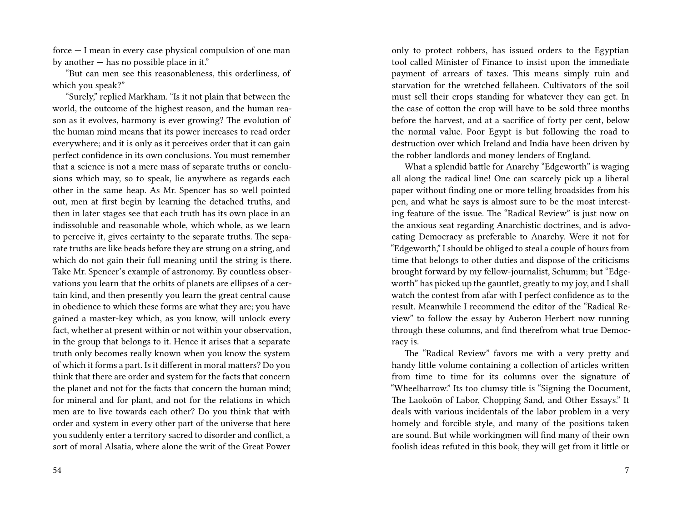force — I mean in every case physical compulsion of one man by another — has no possible place in it."

"But can men see this reasonableness, this orderliness, of which you speak?"

"Surely," replied Markham. "Is it not plain that between the world, the outcome of the highest reason, and the human reason as it evolves, harmony is ever growing? The evolution of the human mind means that its power increases to read order everywhere; and it is only as it perceives order that it can gain perfect confidence in its own conclusions. You must remember that a science is not a mere mass of separate truths or conclusions which may, so to speak, lie anywhere as regards each other in the same heap. As Mr. Spencer has so well pointed out, men at first begin by learning the detached truths, and then in later stages see that each truth has its own place in an indissoluble and reasonable whole, which whole, as we learn to perceive it, gives certainty to the separate truths. The separate truths are like beads before they are strung on a string, and which do not gain their full meaning until the string is there. Take Mr. Spencer's example of astronomy. By countless observations you learn that the orbits of planets are ellipses of a certain kind, and then presently you learn the great central cause in obedience to which these forms are what they are; you have gained a master-key which, as you know, will unlock every fact, whether at present within or not within your observation, in the group that belongs to it. Hence it arises that a separate truth only becomes really known when you know the system of which it forms a part. Is it different in moral matters? Do you think that there are order and system for the facts that concern the planet and not for the facts that concern the human mind; for mineral and for plant, and not for the relations in which men are to live towards each other? Do you think that with order and system in every other part of the universe that here you suddenly enter a territory sacred to disorder and conflict, a sort of moral Alsatia, where alone the writ of the Great Power

only to protect robbers, has issued orders to the Egyptian tool called Minister of Finance to insist upon the immediate payment of arrears of taxes. This means simply ruin and starvation for the wretched fellaheen. Cultivators of the soil must sell their crops standing for whatever they can get. In the case of cotton the crop will have to be sold three months before the harvest, and at a sacrifice of forty per cent, below the normal value. Poor Egypt is but following the road to destruction over which Ireland and India have been driven by the robber landlords and money lenders of England.

What a splendid battle for Anarchy "Edgeworth" is waging all along the radical line! One can scarcely pick up a liberal paper without finding one or more telling broadsides from his pen, and what he says is almost sure to be the most interesting feature of the issue. The "Radical Review" is just now on the anxious seat regarding Anarchistic doctrines, and is advocating Democracy as preferable to Anarchy. Were it not for "Edgeworth," I should be obliged to steal a couple of hours from time that belongs to other duties and dispose of the criticisms brought forward by my fellow-journalist, Schumm; but "Edgeworth" has picked up the gauntlet, greatly to my joy, and I shall watch the contest from afar with I perfect confidence as to the result. Meanwhile I recommend the editor of the "Radical Review" to follow the essay by Auberon Herbert now running through these columns, and find therefrom what true Democracy is.

The "Radical Review" favors me with a very pretty and handy little volume containing a collection of articles written from time to time for its columns over the signature of "Wheelbarrow." Its too clumsy title is "Signing the Document, The Laokoön of Labor, Chopping Sand, and Other Essays." It deals with various incidentals of the labor problem in a very homely and forcible style, and many of the positions taken are sound. But while workingmen will find many of their own foolish ideas refuted in this book, they will get from it little or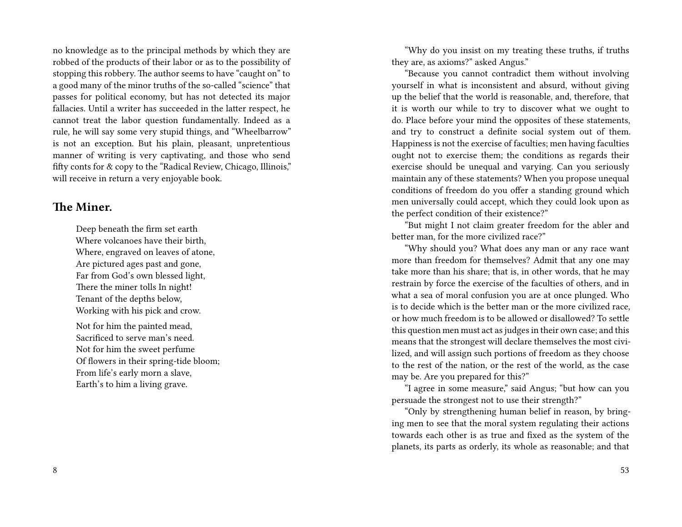no knowledge as to the principal methods by which they are robbed of the products of their labor or as to the possibility of stopping this robbery. The author seems to have "caught on" to a good many of the minor truths of the so-called "science" that passes for political economy, but has not detected its major fallacies. Until a writer has succeeded in the latter respect, he cannot treat the labor question fundamentally. Indeed as a rule, he will say some very stupid things, and "Wheelbarrow" is not an exception. But his plain, pleasant, unpretentious manner of writing is very captivating, and those who send fifty conts for & copy to the "Radical Review, Chicago, Illinois," will receive in return a very enjoyable book.

# **The Miner.**

Deep beneath the firm set earth Where volcanoes have their birth, Where, engraved on leaves of atone, Are pictured ages past and gone, Far from God's own blessed light, There the miner tolls In night! Tenant of the depths below, Working with his pick and crow.

Not for him the painted mead, Sacrificed to serve man's need. Not for him the sweet perfume Of flowers in their spring-tide bloom; From life's early morn a slave, Earth's to him a living grave.

"Why do you insist on my treating these truths, if truths they are, as axioms?" asked Angus."

"Because you cannot contradict them without involving yourself in what is inconsistent and absurd, without giving up the belief that the world is reasonable, and, therefore, that it is worth our while to try to discover what we ought to do. Place before your mind the opposites of these statements, and try to construct a definite social system out of them. Happiness is not the exercise of faculties; men having faculties ought not to exercise them; the conditions as regards their exercise should be unequal and varying. Can you seriously maintain any of these statements? When you propose unequal conditions of freedom do you offer a standing ground which men universally could accept, which they could look upon as the perfect condition of their existence?"

"But might I not claim greater freedom for the abler and better man, for the more civilized race?"

"Why should you? What does any man or any race want more than freedom for themselves? Admit that any one may take more than his share; that is, in other words, that he may restrain by force the exercise of the faculties of others, and in what a sea of moral confusion you are at once plunged. Who is to decide which is the better man or the more civilized race, or how much freedom is to be allowed or disallowed? To settle this question men must act as judges in their own case; and this means that the strongest will declare themselves the most civilized, and will assign such portions of freedom as they choose to the rest of the nation, or the rest of the world, as the case may be. Are you prepared for this?"

"I agree in some measure," said Angus; "but how can you persuade the strongest not to use their strength?"

"Only by strengthening human belief in reason, by bringing men to see that the moral system regulating their actions towards each other is as true and fixed as the system of the planets, its parts as orderly, its whole as reasonable; and that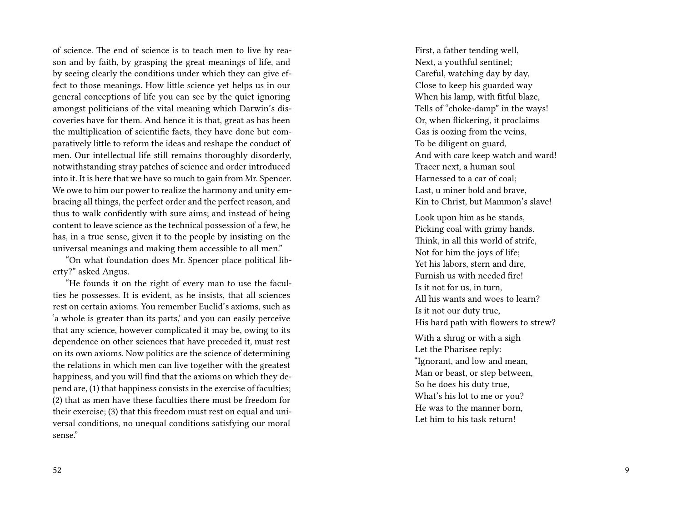of science. The end of science is to teach men to live by reason and by faith, by grasping the great meanings of life, and by seeing clearly the conditions under which they can give effect to those meanings. How little science yet helps us in our general conceptions of life you can see by the quiet ignoring amongst politicians of the vital meaning which Darwin's discoveries have for them. And hence it is that, great as has been the multiplication of scientific facts, they have done but comparatively little to reform the ideas and reshape the conduct of men. Our intellectual life still remains thoroughly disorderly, notwithstanding stray patches of science and order introduced into it. It is here that we have so much to gain from Mr. Spencer. We owe to him our power to realize the harmony and unity embracing all things, the perfect order and the perfect reason, and thus to walk confidently with sure aims; and instead of being content to leave science as the technical possession of a few, he has, in a true sense, given it to the people by insisting on the universal meanings and making them accessible to all men."

"On what foundation does Mr. Spencer place political liberty?" asked Angus.

"He founds it on the right of every man to use the faculties he possesses. It is evident, as he insists, that all sciences rest on certain axioms. You remember Euclid's axioms, such as 'a whole is greater than its parts,' and you can easily perceive that any science, however complicated it may be, owing to its dependence on other sciences that have preceded it, must rest on its own axioms. Now politics are the science of determining the relations in which men can live together with the greatest happiness, and you will find that the axioms on which they depend are, (1) that happiness consists in the exercise of faculties; (2) that as men have these faculties there must be freedom for their exercise; (3) that this freedom must rest on equal and universal conditions, no unequal conditions satisfying our moral sense."

First, a father tending well, Next, a youthful sentinel; Careful, watching day by day, Close to keep his guarded way When his lamp, with fitful blaze, Tells of "choke-damp" in the ways! Or, when flickering, it proclaims Gas is oozing from the veins, To be diligent on guard, And with care keep watch and ward! Tracer next, a human soul Harnessed to a car of coal; Last, u miner bold and brave, Kin to Christ, but Mammon's slave!

Look upon him as he stands, Picking coal with grimy hands. Think, in all this world of strife, Not for him the joys of life; Yet his labors, stern and dire, Furnish us with needed fire! Is it not for us, in turn, All his wants and woes to learn? Is it not our duty true, His hard path with flowers to strew?

With a shrug or with a sigh Let the Pharisee reply: "Ignorant, and low and mean, Man or beast, or step between, So he does his duty true, What's his lot to me or you? He was to the manner born, Let him to his task return!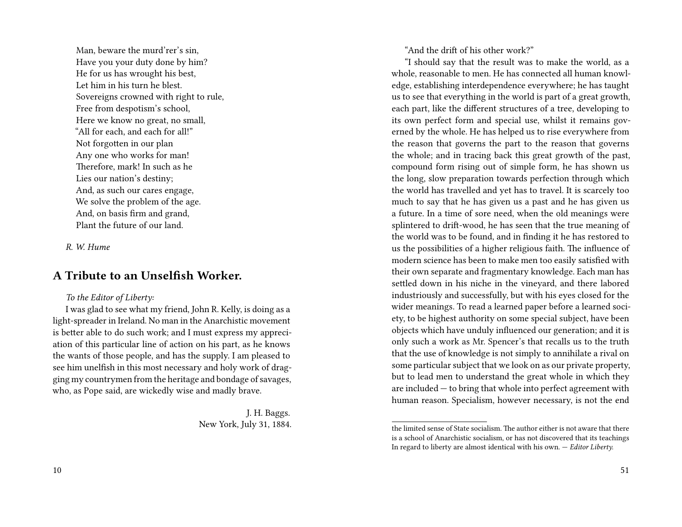Man, beware the murd'rer's sin, Have you your duty done by him? He for us has wrought his best, Let him in his turn he blest. Sovereigns crowned with right to rule, Free from despotism's school, Here we know no great, no small, "All for each, and each for all!" Not forgotten in our plan Any one who works for man! Therefore, mark! In such as he Lies our nation's destiny; And, as such our cares engage, We solve the problem of the age. And, on basis firm and grand, Plant the future of our land.

*R. W. Hume*

## **A Tribute to an Unselfish Worker.**

### *To the Editor of Liberty:*

I was glad to see what my friend, John R. Kelly, is doing as a light-spreader in Ireland. No man in the Anarchistic movement is better able to do such work; and I must express my appreciation of this particular line of action on his part, as he knows the wants of those people, and has the supply. I am pleased to see him unelfish in this most necessary and holy work of dragging my countrymen from the heritage and bondage of savages, who, as Pope said, are wickedly wise and madly brave.

> J. H. Baggs. New York, July 31, 1884.

"And the drift of his other work?"

"I should say that the result was to make the world, as a whole, reasonable to men. He has connected all human knowledge, establishing interdependence everywhere; he has taught us to see that everything in the world is part of a great growth, each part, like the different structures of a tree, developing to its own perfect form and special use, whilst it remains governed by the whole. He has helped us to rise everywhere from the reason that governs the part to the reason that governs the whole; and in tracing back this great growth of the past, compound form rising out of simple form, he has shown us the long, slow preparation towards perfection through which the world has travelled and yet has to travel. It is scarcely too much to say that he has given us a past and he has given us a future. In a time of sore need, when the old meanings were splintered to drift-wood, he has seen that the true meaning of the world was to be found, and in finding it he has restored to us the possibilities of a higher religious faith. The influence of modern science has been to make men too easily satisfied with their own separate and fragmentary knowledge. Each man has settled down in his niche in the vineyard, and there labored industriously and successfully, but with his eyes closed for the wider meanings. To read a learned paper before a learned society, to be highest authority on some special subject, have been objects which have unduly influenced our generation; and it is only such a work as Mr. Spencer's that recalls us to the truth that the use of knowledge is not simply to annihilate a rival on some particular subject that we look on as our private property, but to lead men to understand the great whole in which they are included — to bring that whole into perfect agreement with human reason. Specialism, however necessary, is not the end

the limited sense of State socialism. The author either is not aware that there is a school of Anarchistic socialism, or has not discovered that its teachings In regard to liberty are almost identical with his own. — *Editor Liberty.*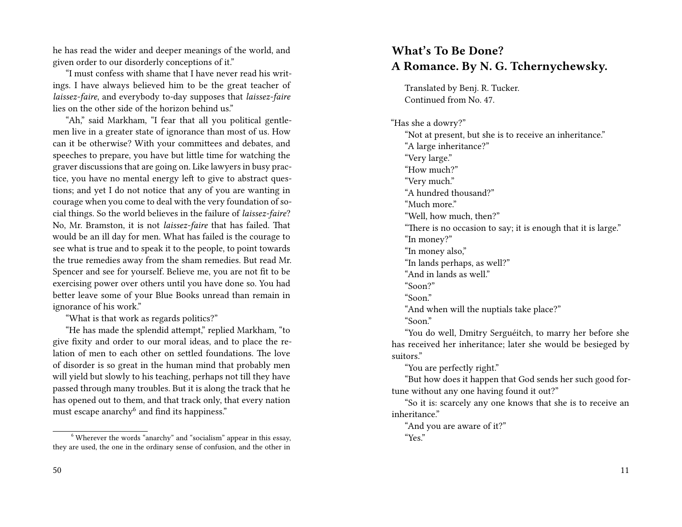he has read the wider and deeper meanings of the world, and given order to our disorderly conceptions of it."

"I must confess with shame that I have never read his writings. I have always believed him to be the great teacher of *laissez-faire*, and everybody to-day supposes that *laissez-faire* lies on the other side of the horizon behind us."

"Ah," said Markham, "I fear that all you political gentlemen live in a greater state of ignorance than most of us. How can it be otherwise? With your committees and debates, and speeches to prepare, you have but little time for watching the graver discussions that are going on. Like lawyers in busy practice, you have no mental energy left to give to abstract questions; and yet I do not notice that any of you are wanting in courage when you come to deal with the very foundation of social things. So the world believes in the failure of *laissez-faire*? No, Mr. Bramston, it is not *laissez-faire* that has failed. That would be an ill day for men. What has failed is the courage to see what is true and to speak it to the people, to point towards the true remedies away from the sham remedies. But read Mr. Spencer and see for yourself. Believe me, you are not fit to be exercising power over others until you have done so. You had better leave some of your Blue Books unread than remain in ignorance of his work."

"What is that work as regards politics?"

"He has made the splendid attempt," replied Markham, "to give fixity and order to our moral ideas, and to place the relation of men to each other on settled foundations. The love of disorder is so great in the human mind that probably men will yield but slowly to his teaching, perhaps not till they have passed through many troubles. But it is along the track that he has opened out to them, and that track only, that every nation must escape anarchy $^6$  and find its happiness."

#### 50

# **What's To Be Done? A Romance. By N. G. Tchernychewsky.**

Translated by Benj. R. Tucker. Continued from No. 47.

"Has she a dowry?" "Not at present, but she is to receive an inheritance." "A large inheritance?" "Very large." "How much?" "Very much." "A hundred thousand?" "Much more." "Well, how much, then?" "There is no occasion to say; it is enough that it is large." "In money?" "In money also," "In lands perhaps, as well?" "And in lands as well." "Soon?" "Soon." "And when will the nuptials take place?" "Soon."

"You do well, Dmitry Serguéitch, to marry her before she has received her inheritance; later she would be besieged by suitors."

"You are perfectly right."

"But how does it happen that God sends her such good fortune without any one having found it out?"

"So it is: scarcely any one knows that she is to receive an inheritance."

"And you are aware of it?" "Yes."

<sup>6</sup> Wherever the words "anarchy" and "socialism" appear in this essay, they are used, the one in the ordinary sense of confusion, and the other in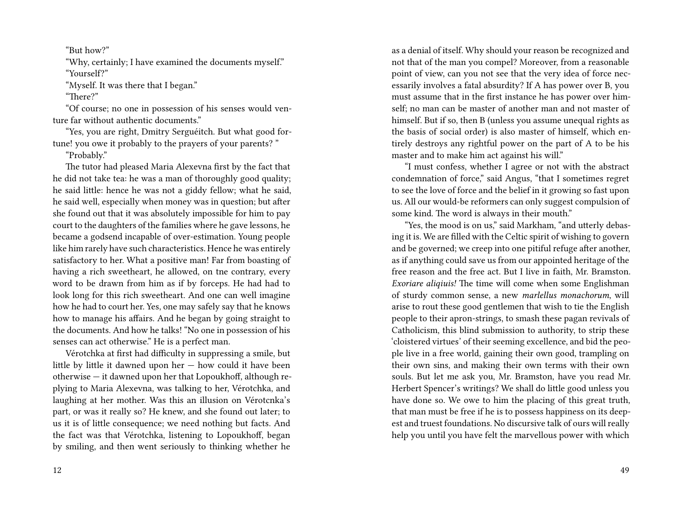"But how?"

"Why, certainly; I have examined the documents myself." "Yourself?"

"Myself. It was there that I began."

"There?"

"Of course; no one in possession of his senses would venture far without authentic documents."

"Yes, you are right, Dmitry Serguéitch. But what good fortune! you owe it probably to the prayers of your parents? "

### "Probably."

The tutor had pleased Maria Alexevna first by the fact that he did not take tea: he was a man of thoroughly good quality; he said little: hence he was not a giddy fellow; what he said, he said well, especially when money was in question; but after she found out that it was absolutely impossible for him to pay court to the daughters of the families where he gave lessons, he became a godsend incapable of over-estimation. Young people like him rarely have such characteristics. Hence he was entirely satisfactory to her. What a positive man! Far from boasting of having a rich sweetheart, he allowed, on tne contrary, every word to be drawn from him as if by forceps. He had had to look long for this rich sweetheart. And one can well imagine how he had to court her. Yes, one may safely say that he knows how to manage his affairs. And he began by going straight to the documents. And how he talks! "No one in possession of his senses can act otherwise." He is a perfect man.

Vérotchka at first had difficulty in suppressing a smile, but little by little it dawned upon her — how could it have been otherwise — it dawned upon her that Lopoukhoff, although replying to Maria Alexevna, was talking to her, Vérotchka, and laughing at her mother. Was this an illusion on Vérotcnka's part, or was it really so? He knew, and she found out later; to us it is of little consequence; we need nothing but facts. And the fact was that Vérotchka, listening to Lopoukhoff, began by smiling, and then went seriously to thinking whether he

as a denial of itself. Why should your reason be recognized and not that of the man you compel? Moreover, from a reasonable point of view, can you not see that the very idea of force necessarily involves a fatal absurdity? If A has power over B, you must assume that in the first instance he has power over himself; no man can be master of another man and not master of himself. But if so, then B (unless you assume unequal rights as the basis of social order) is also master of himself, which entirely destroys any rightful power on the part of A to be his master and to make him act against his will."

"I must confess, whether I agree or not with the abstract condemnation of force," said Angus, "that I sometimes regret to see the love of force and the belief in it growing so fast upon us. All our would-be reformers can only suggest compulsion of some kind. The word is always in their mouth."

"Yes, the mood is on us," said Markham, "and utterly debasing it is. We are filled with the Celtic spirit of wishing to govern and be governed; we creep into one pitiful refuge after another, as if anything could save us from our appointed heritage of the free reason and the free act. But I live in faith, Mr. Bramston. *Exoriare aliqiuis!* The time will come when some Englishman of sturdy common sense, a new *marlellus monachorum*, will arise to rout these good gentlemen that wish to tie the English people to their apron-strings, to smash these pagan revivals of Catholicism, this blind submission to authority, to strip these 'cloistered virtues' of their seeming excellence, and bid the people live in a free world, gaining their own good, trampling on their own sins, and making their own terms with their own souls. But let me ask you, Mr. Bramston, have you read Mr. Herbert Spencer's writings? We shall do little good unless you have done so. We owe to him the placing of this great truth, that man must be free if he is to possess happiness on its deepest and truest foundations. No discursive talk of ours will really help you until you have felt the marvellous power with which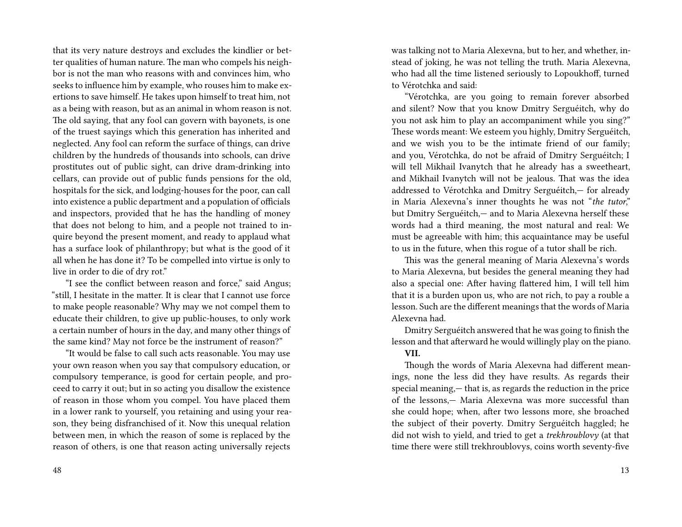that its very nature destroys and excludes the kindlier or better qualities of human nature. The man who compels his neighbor is not the man who reasons with and convinces him, who seeks to influence him by example, who rouses him to make exertions to save himself. He takes upon himself to treat him, not as a being with reason, but as an animal in whom reason is not. The old saying, that any fool can govern with bayonets, is one of the truest sayings which this generation has inherited and neglected. Any fool can reform the surface of things, can drive children by the hundreds of thousands into schools, can drive prostitutes out of public sight, can drive dram-drinking into cellars, can provide out of public funds pensions for the old, hospitals for the sick, and lodging-houses for the poor, can call into existence a public department and a population of officials and inspectors, provided that he has the handling of money that does not belong to him, and a people not trained to inquire beyond the present moment, and ready to applaud what has a surface look of philanthropy; but what is the good of it all when he has done it? To be compelled into virtue is only to live in order to die of dry rot."

"I see the conflict between reason and force," said Angus; "still, I hesitate in the matter. It is clear that I cannot use force to make people reasonable? Why may we not compel them to educate their children, to give up public-houses, to only work a certain number of hours in the day, and many other things of the same kind? May not force be the instrument of reason?"

"It would be false to call such acts reasonable. You may use your own reason when you say that compulsory education, or compulsory temperance, is good for certain people, and proceed to carry it out; but in so acting you disallow the existence of reason in those whom you compel. You have placed them in a lower rank to yourself, you retaining and using your reason, they being disfranchised of it. Now this unequal relation between men, in which the reason of some is replaced by the reason of others, is one that reason acting universally rejects

was talking not to Maria Alexevna, but to her, and whether, instead of joking, he was not telling the truth. Maria Alexevna, who had all the time listened seriously to Lopoukhoff, turned to Vérotchka and said:

"Vérotchka, are you going to remain forever absorbed and silent? Now that you know Dmitry Serguéitch, why do you not ask him to play an accompaniment while you sing?" These words meant: We esteem you highly, Dmitry Serguéitch, and we wish you to be the intimate friend of our family; and you, Vérotchka, do not be afraid of Dmitry Serguéitch; I will tell Mikhail Ivanytch that he already has a sweetheart, and Mikhail Ivanytch will not be jealous. That was the idea addressed to Vérotchka and Dmitry Serguéitch,— for already in Maria Alexevna's inner thoughts he was not "*the tutor*," but Dmitry Serguéitch,— and to Maria Alexevna herself these words had a third meaning, the most natural and real: We must be agreeable with him; this acquaintance may be useful to us in the future, when this rogue of a tutor shall be rich.

This was the general meaning of Maria Alexevna's words to Maria Alexevna, but besides the general meaning they had also a special one: After having flattered him, I will tell him that it is a burden upon us, who are not rich, to pay a rouble a lesson. Such are the different meanings that the words of Maria Alexevna had.

Dmitry Serguéitch answered that he was going to finish the lesson and that afterward he would willingly play on the piano.

#### **VII.**

Though the words of Maria Alexevna had different meanings, none the less did they have results. As regards their special meaning,— that is, as regards the reduction in the price of the lessons,— Maria Alexevna was more successful than she could hope; when, after two lessons more, she broached the subject of their poverty. Dmitry Serguéitch haggled; he did not wish to yield, and tried to get a *trekhroublovy* (at that time there were still trekhroublovys, coins worth seventy-five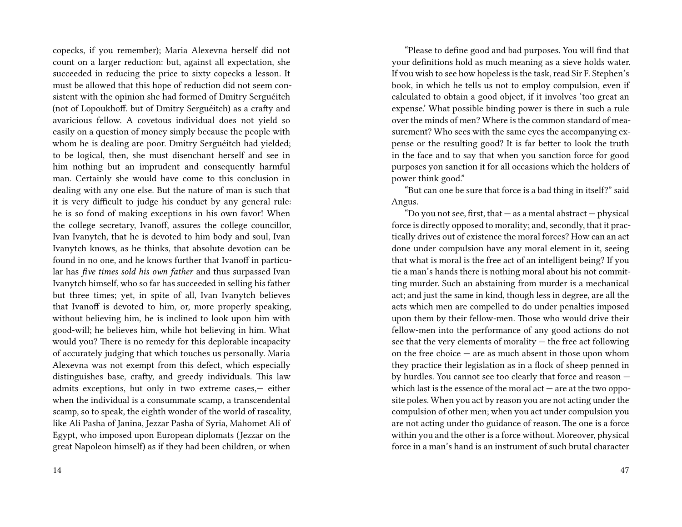copecks, if you remember); Maria Alexevna herself did not count on a larger reduction: but, against all expectation, she succeeded in reducing the price to sixty copecks a lesson. It must be allowed that this hope of reduction did not seem consistent with the opinion she had formed of Dmitry Serguéitch (not of Lopoukhoff. but of Dmitry Serguéitch) as a crafty and avaricious fellow. A covetous individual does not yield so easily on a question of money simply because the people with whom he is dealing are poor. Dmitry Serguéitch had yielded; to be logical, then, she must disenchant herself and see in him nothing but an imprudent and consequently harmful man. Certainly she would have come to this conclusion in dealing with any one else. But the nature of man is such that it is very difficult to judge his conduct by any general rule: he is so fond of making exceptions in his own favor! When the college secretary, Ivanoff, assures the college councillor, Ivan Ivanytch, that he is devoted to him body and soul, Ivan Ivanytch knows, as he thinks, that absolute devotion can be found in no one, and he knows further that Ivanoff in particular has *five times sold his own father* and thus surpassed Ivan Ivanytch himself, who so far has succeeded in selling his father but three times; yet, in spite of all, Ivan Ivanytch believes that Ivanoff is devoted to him, or, more properly speaking, without believing him, he is inclined to look upon him with good-will; he believes him, while hot believing in him. What would you? There is no remedy for this deplorable incapacity of accurately judging that which touches us personally. Maria Alexevna was not exempt from this defect, which especially distinguishes base, crafty, and greedy individuals. This law admits exceptions, but only in two extreme cases,— either when the individual is a consummate scamp, a transcendental scamp, so to speak, the eighth wonder of the world of rascality, like Ali Pasha of Janina, Jezzar Pasha of Syria, Mahomet Ali of Egypt, who imposed upon European diplomats (Jezzar on the great Napoleon himself) as if they had been children, or when

"Please to define good and bad purposes. You will find that your definitions hold as much meaning as a sieve holds water. If vou wish to see how hopeless is the task, read Sir F. Stephen's book, in which he tells us not to employ compulsion, even if calculated to obtain a good object, if it involves 'too great an expense.' What possible binding power is there in such a rule over the minds of men? Where is the common standard of measurement? Who sees with the same eyes the accompanying expense or the resulting good? It is far better to look the truth in the face and to say that when you sanction force for good purposes yon sanction it for all occasions which the holders of power think good."

"But can one be sure that force is a bad thing in itself?" said Angus.

"Do you not see, first, that  $-$  as a mental abstract  $-$  physical force is directly opposed to morality; and, secondly, that it practically drives out of existence the moral forces? How can an act done under compulsion have any moral element in it, seeing that what is moral is the free act of an intelligent being? If you tie a man's hands there is nothing moral about his not committing murder. Such an abstaining from murder is a mechanical act; and just the same in kind, though less in degree, are all the acts which men are compelled to do under penalties imposed upon them by their fellow-men. Those who would drive their fellow-men into the performance of any good actions do not see that the very elements of morality — the free act following on the free choice — are as much absent in those upon whom they practice their legislation as in a flock of sheep penned in by hurdles. You cannot see too clearly that force and reason which last is the essence of the moral  $act - are$  at the two opposite poles. When you act by reason you are not acting under the compulsion of other men; when you act under compulsion you are not acting under tho guidance of reason. The one is a force within you and the other is a force without. Moreover, physical force in a man's hand is an instrument of such brutal character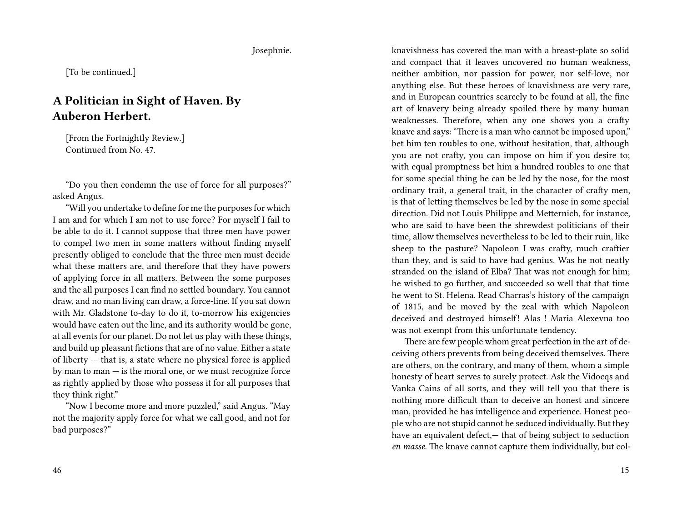### Josephnie.

[To be continued.]

# **A Politician in Sight of Haven. By Auberon Herbert.**

[From the Fortnightly Review.] Continued from No. 47.

"Do you then condemn the use of force for all purposes?" asked Angus.

"Will you undertake to define for me the purposes for which I am and for which I am not to use force? For myself I fail to be able to do it. I cannot suppose that three men have power to compel two men in some matters without finding myself presently obliged to conclude that the three men must decide what these matters are, and therefore that they have powers of applying force in all matters. Between the some purposes and the all purposes I can find no settled boundary. You cannot draw, and no man living can draw, a force-line. If you sat down with Mr. Gladstone to-day to do it, to-morrow his exigencies would have eaten out the line, and its authority would be gone, at all events for our planet. Do not let us play with these things, and build up pleasant fictions that are of no value. Either a state of liberty — that is, a state where no physical force is applied by man to man — is the moral one, or we must recognize force as rightly applied by those who possess it for all purposes that they think right."

"Now I become more and more puzzled," said Angus. "May not the majority apply force for what we call good, and not for bad purposes?"

knavishness has covered the man with a breast-plate so solid and compact that it leaves uncovered no human weakness, neither ambition, nor passion for power, nor self-love, nor anything else. But these heroes of knavishness are very rare, and in European countries scarcely to be found at all, the fine art of knavery being already spoiled there by many human weaknesses. Therefore, when any one shows you a crafty knave and says: "There is a man who cannot be imposed upon," bet him ten roubles to one, without hesitation, that, although you are not crafty, you can impose on him if you desire to; with equal promptness bet him a hundred roubles to one that for some special thing he can be led by the nose, for the most ordinary trait, a general trait, in the character of crafty men, is that of letting themselves be led by the nose in some special direction. Did not Louis Philippe and Metternich, for instance, who are said to have been the shrewdest politicians of their time, allow themselves nevertheless to be led to their ruin, like sheep to the pasture? Napoleon I was crafty, much craftier than they, and is said to have had genius. Was he not neatly stranded on the island of Elba? That was not enough for him; he wished to go further, and succeeded so well that that time he went to St. Helena. Read Charras's history of the campaign of 1815, and be moved by the zeal with which Napoleon deceived and destroyed himself! Alas ! Maria Alexevna too was not exempt from this unfortunate tendency.

There are few people whom great perfection in the art of deceiving others prevents from being deceived themselves. There are others, on the contrary, and many of them, whom a simple honesty of heart serves to surely protect. Ask the Vidocqs and Vanka Cains of all sorts, and they will tell you that there is nothing more difficult than to deceive an honest and sincere man, provided he has intelligence and experience. Honest people who are not stupid cannot be seduced individually. But they have an equivalent defect,— that of being subject to seduction *en masse*. The knave cannot capture them individually, but col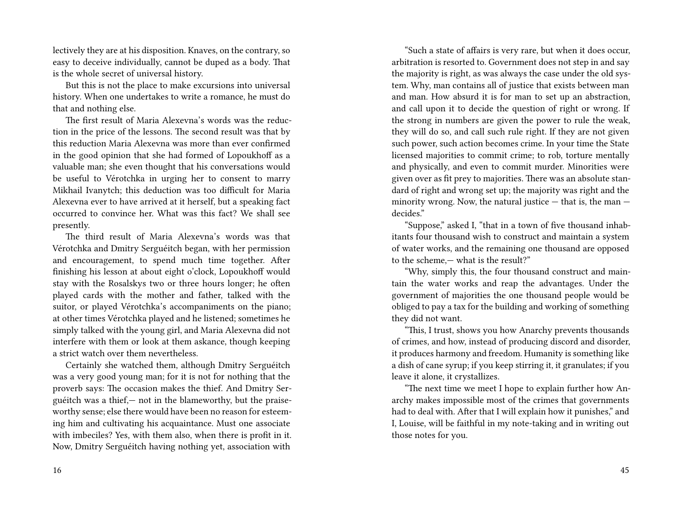lectively they are at his disposition. Knaves, on the contrary, so easy to deceive individually, cannot be duped as a body. That is the whole secret of universal history.

But this is not the place to make excursions into universal history. When one undertakes to write a romance, he must do that and nothing else.

The first result of Maria Alexevna's words was the reduction in the price of the lessons. The second result was that by this reduction Maria Alexevna was more than ever confirmed in the good opinion that she had formed of Lopoukhoff as a valuable man; she even thought that his conversations would be useful to Vérotchka in urging her to consent to marry Mikhail Ivanytch; this deduction was too difficult for Maria Alexevna ever to have arrived at it herself, but a speaking fact occurred to convince her. What was this fact? We shall see presently.

The third result of Maria Alexevna's words was that Vérotchka and Dmitry Serguéitch began, with her permission and encouragement, to spend much time together. After finishing his lesson at about eight o'clock, Lopoukhoff would stay with the Rosalskys two or three hours longer; he often played cards with the mother and father, talked with the suitor, or played Vérotchka's accompaniments on the piano; at other times Vérotchka played and he listened; sometimes he simply talked with the young girl, and Maria Alexevna did not interfere with them or look at them askance, though keeping a strict watch over them nevertheless.

Certainly she watched them, although Dmitry Serguéitch was a very good young man; for it is not for nothing that the proverb says: The occasion makes the thief. And Dmitry Serguéitch was a thief,— not in the blameworthy, but the praiseworthy sense; else there would have been no reason for esteeming him and cultivating his acquaintance. Must one associate with imbeciles? Yes, with them also, when there is profit in it. Now, Dmitry Serguéitch having nothing yet, association with

16

"Such a state of affairs is very rare, but when it does occur, arbitration is resorted to. Government does not step in and say the majority is right, as was always the case under the old system. Why, man contains all of justice that exists between man and man. How absurd it is for man to set up an abstraction, and call upon it to decide the question of right or wrong. If the strong in numbers are given the power to rule the weak, they will do so, and call such rule right. If they are not given such power, such action becomes crime. In your time the State licensed majorities to commit crime; to rob, torture mentally and physically, and even to commit murder. Minorities were given over as fit prey to majorities. There was an absolute standard of right and wrong set up; the majority was right and the minority wrong. Now, the natural justice  $-$  that is, the man  $$ decides."

"Suppose," asked I, "that in a town of five thousand inhabitants four thousand wish to construct and maintain a system of water works, and the remaining one thousand are opposed to the scheme,— what is the result?"

"Why, simply this, the four thousand construct and maintain the water works and reap the advantages. Under the government of majorities the one thousand people would be obliged to pay a tax for the building and working of something they did not want.

"This, I trust, shows you how Anarchy prevents thousands of crimes, and how, instead of producing discord and disorder, it produces harmony and freedom. Humanity is something like a dish of cane syrup; if you keep stirring it, it granulates; if you leave it alone, it crystallizes.

"The next time we meet I hope to explain further how Anarchy makes impossible most of the crimes that governments had to deal with. After that I will explain how it punishes," and I, Louise, will be faithful in my note-taking and in writing out those notes for you.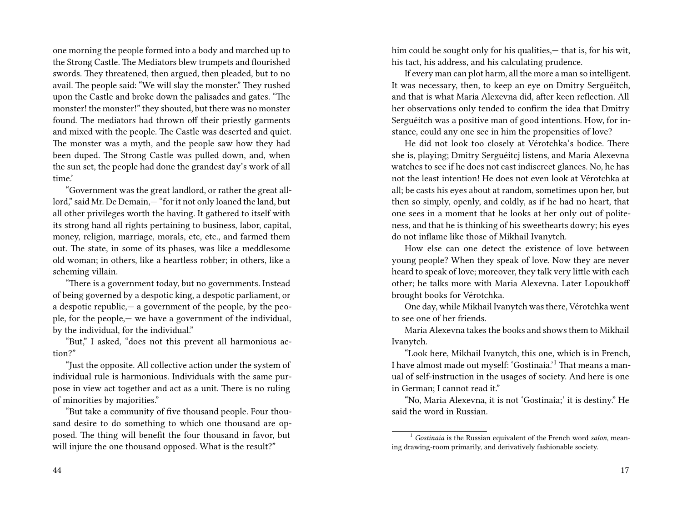one morning the people formed into a body and marched up to the Strong Castle. The Mediators blew trumpets and flourished swords. They threatened, then argued, then pleaded, but to no avail. The people said: "We will slay the monster." They rushed upon the Castle and broke down the palisades and gates. "The monster! the monster!" they shouted, but there was no monster found. The mediators had thrown off their priestly garments and mixed with the people. The Castle was deserted and quiet. The monster was a myth, and the people saw how they had been duped. The Strong Castle was pulled down, and, when the sun set, the people had done the grandest day's work of all time.'

"Government was the great landlord, or rather the great alllord," said Mr. De Demain,— "for it not only loaned the land, but all other privileges worth the having. It gathered to itself with its strong hand all rights pertaining to business, labor, capital, money, religion, marriage, morals, etc, etc., and farmed them out. The state, in some of its phases, was like a meddlesome old woman; in others, like a heartless robber; in others, like a scheming villain.

"There is a government today, but no governments. Instead of being governed by a despotic king, a despotic parliament, or a despotic republic,— a government of the people, by the people, for the people,— we have a government of the individual, by the individual, for the individual."

"But," I asked, "does not this prevent all harmonious action?"

"Just the opposite. All collective action under the system of individual rule is harmonious. Individuals with the same purpose in view act together and act as a unit. There is no ruling of minorities by majorities."

"But take a community of five thousand people. Four thousand desire to do something to which one thousand are opposed. The thing will benefit the four thousand in favor, but will injure the one thousand opposed. What is the result?"

44

him could be sought only for his qualities,— that is, for his wit, his tact, his address, and his calculating prudence.

If every man can plot harm, all the more a man so intelligent. It was necessary, then, to keep an eye on Dmitry Serguéitch, and that is what Maria Alexevna did, after keen reflection. All her observations only tended to confirm the idea that Dmitry Serguéitch was a positive man of good intentions. How, for instance, could any one see in him the propensities of love?

He did not look too closely at Vérotchka's bodice. There she is, playing; Dmitry Serguéitcj listens, and Maria Alexevna watches to see if he does not cast indiscreet glances. No, he has not the least intention! He does not even look at Vérotchka at all; be casts his eyes about at random, sometimes upon her, but then so simply, openly, and coldly, as if he had no heart, that one sees in a moment that he looks at her only out of politeness, and that he is thinking of his sweethearts dowry; his eyes do not inflame like those of Mikhail Ivanytch.

How else can one detect the existence of love between young people? When they speak of love. Now they are never heard to speak of love; moreover, they talk very little with each other; he talks more with Maria Alexevna. Later Lopoukhoff brought books for Vérotchka.

One day, while Mikhail Ivanytch was there, Vérotchka went to see one of her friends.

Maria Alexevna takes the books and shows them to Mikhail Ivanytch.

"Look here, Mikhail Ivanytch, this one, which is in French, I have almost made out myself: 'Gostinaia.'<sup>1</sup> That means a manual of self-instruction in the usages of society. And here is one in German; I cannot read it."

"No, Maria Alexevna, it is not 'Gostinaia;' it is destiny." He said the word in Russian.

<sup>1</sup> *Gostinaia* is the Russian equivalent of the French word *salon*, meaning drawing-room primarily, and derivatively fashionable society.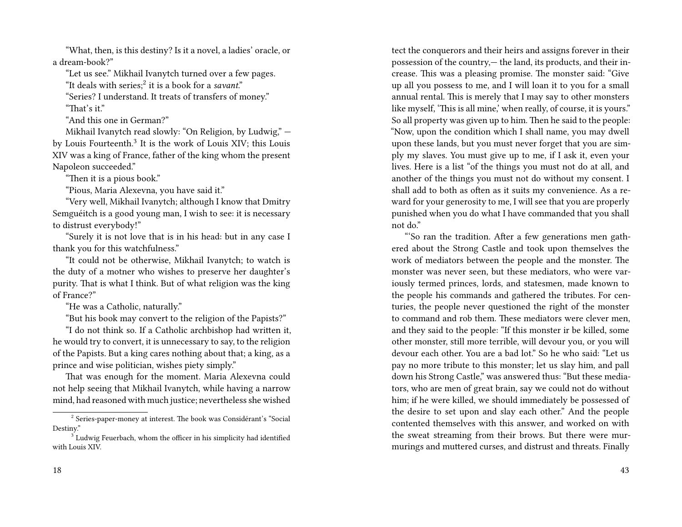"What, then, is this destiny? Is it a novel, a ladies' oracle, or a dream-book?"

"Let us see." Mikhail Ivanytch turned over a few pages.

"It deals with series;<sup>2</sup> it is a book for a *savant*."

"Series? I understand. It treats of transfers of money." "That's it."

"And this one in German?"

Mikhail Ivanytch read slowly: "On Religion, by Ludwig," by Louis Fourteenth.<sup>3</sup> It is the work of Louis XIV; this Louis XIV was a king of France, father of the king whom the present Napoleon succeeded."

"Then it is a pious book."

"Pious, Maria Alexevna, you have said it."

"Very well, Mikhail Ivanytch; although I know that Dmitry Semguéitch is a good young man, I wish to see: it is necessary to distrust everybody!"

"Surely it is not love that is in his head: but in any case I thank you for this watchfulness."

"It could not be otherwise, Mikhail Ivanytch; to watch is the duty of a motner who wishes to preserve her daughter's purity. That is what I think. But of what religion was the king of France?"

"He was a Catholic, naturally."

"But his book may convert to the religion of the Papists?"

"I do not think so. If a Catholic archbishop had written it, he would try to convert, it is unnecessary to say, to the religion of the Papists. But a king cares nothing about that; a king, as a prince and wise politician, wishes piety simply."

That was enough for the moment. Maria Alexevna could not help seeing that Mikhail Ivanytch, while having a narrow mind, had reasoned with much justice; nevertheless she wished tect the conquerors and their heirs and assigns forever in their possession of the country,— the land, its products, and their increase. This was a pleasing promise. The monster said: "Give up all you possess to me, and I will loan it to you for a small annual rental. This is merely that I may say to other monsters like myself, 'This is all mine,' when really, of course, it is yours." So all property was given up to him. Then he said to the people: "Now, upon the condition which I shall name, you may dwell upon these lands, but you must never forget that you are simply my slaves. You must give up to me, if I ask it, even your lives. Here is a list "of the things you must not do at all, and another of the things you must not do without my consent. I shall add to both as often as it suits my convenience. As a reward for your generosity to me, I will see that you are properly punished when you do what I have commanded that you shall not do."

"'So ran the tradition. After a few generations men gathered about the Strong Castle and took upon themselves the work of mediators between the people and the monster. The monster was never seen, but these mediators, who were variously termed princes, lords, and statesmen, made known to the people his commands and gathered the tributes. For centuries, the people never questioned the right of the monster to command and rob them. These mediators were clever men, and they said to the people: "If this monster ir be killed, some other monster, still more terrible, will devour you, or you will devour each other. You are a bad lot." So he who said: "Let us pay no more tribute to this monster; let us slay him, and pall down his Strong Castle," was answered thus: "But these mediators, who are men of great brain, say we could not do without him; if he were killed, we should immediately be possessed of the desire to set upon and slay each other." And the people contented themselves with this answer, and worked on with the sweat streaming from their brows. But there were murmurings and muttered curses, and distrust and threats. Finally

<sup>&</sup>lt;sup>2</sup> Series-paper-money at interest. The book was Considérant's "Social Destiny."

<sup>&</sup>lt;sup>3</sup> Ludwig Feuerbach, whom the officer in his simplicity had identified with Louis XIV.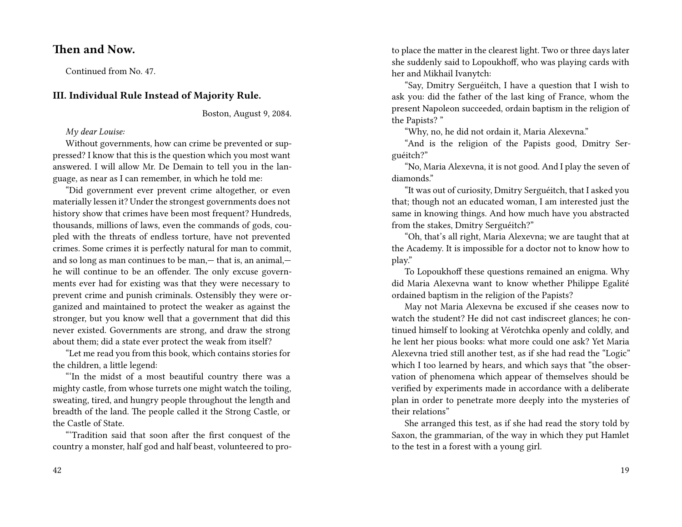# **Then and Now.**

Continued from No. 47.

### **III. Individual Rule Instead of Majority Rule.**

Boston, August 9, 2084.

### *My dear Louise:*

Without governments, how can crime be prevented or suppressed? I know that this is the question which you most want answered. I will allow Mr. De Demain to tell you in the language, as near as I can remember, in which he told me:

"Did government ever prevent crime altogether, or even materially lessen it? Under the strongest governments does not history show that crimes have been most frequent? Hundreds, thousands, millions of laws, even the commands of gods, coupled with the threats of endless torture, have not prevented crimes. Some crimes it is perfectly natural for man to commit, and so long as man continues to be man,— that is, an animal, he will continue to be an offender. The only excuse governments ever had for existing was that they were necessary to prevent crime and punish criminals. Ostensibly they were organized and maintained to protect the weaker as against the stronger, but you know well that a government that did this never existed. Governments are strong, and draw the strong about them; did a state ever protect the weak from itself?

"Let me read you from this book, which contains stories for the children, a little legend:

"'In the midst of a most beautiful country there was a mighty castle, from whose turrets one might watch the toiling, sweating, tired, and hungry people throughout the length and breadth of the land. The people called it the Strong Castle, or the Castle of State.

"'Tradition said that soon after the first conquest of the country a monster, half god and half beast, volunteered to proto place the matter in the clearest light. Two or three days later she suddenly said to Lopoukhoff, who was playing cards with her and Mikhail Ivanytch:

"Say, Dmitry Serguéitch, I have a question that I wish to ask you: did the father of the last king of France, whom the present Napoleon succeeded, ordain baptism in the religion of the Papists? "

"Why, no, he did not ordain it, Maria Alexevna."

"And is the religion of the Papists good, Dmitry Serguéitch?"

"No, Maria Alexevna, it is not good. And I play the seven of diamonds."

"It was out of curiosity, Dmitry Serguéitch, that I asked you that; though not an educated woman, I am interested just the same in knowing things. And how much have you abstracted from the stakes, Dmitry Serguéitch?"

"Oh, that's all right, Maria Alexevna; we are taught that at the Academy. It is impossible for a doctor not to know how to play."

To Lopoukhoff these questions remained an enigma. Why did Maria Alexevna want to know whether Philippe Egalité ordained baptism in the religion of the Papists?

May not Maria Alexevna be excused if she ceases now to watch the student? He did not cast indiscreet glances; he continued himself to looking at Vérotchka openly and coldly, and he lent her pious books: what more could one ask? Yet Maria Alexevna tried still another test, as if she had read the "Logic" which I too learned by hears, and which says that "the observation of phenomena which appear of themselves should be verified by experiments made in accordance with a deliberate plan in order to penetrate more deeply into the mysteries of their relations"

She arranged this test, as if she had read the story told by Saxon, the grammarian, of the way in which they put Hamlet to the test in a forest with a young girl.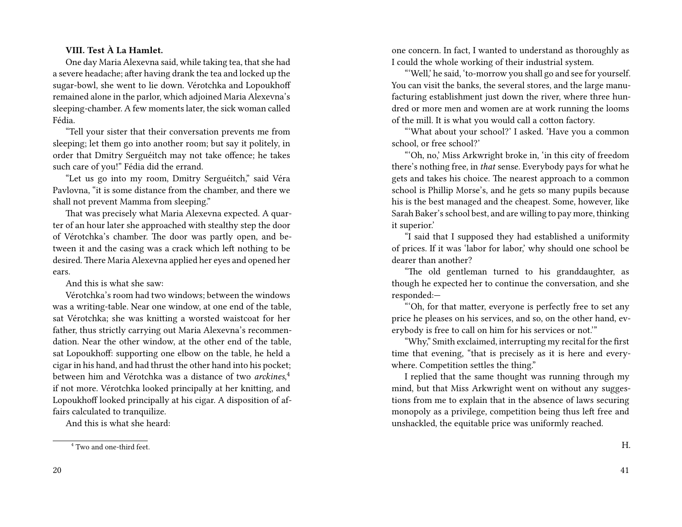### **VIII. Test À La Hamlet.**

One day Maria Alexevna said, while taking tea, that she had a severe headache; after having drank the tea and locked up the sugar-bowl, she went to lie down. Vérotchka and Lopoukhoff remained alone in the parlor, which adjoined Maria Alexevna's sleeping-chamber. A few moments later, the sick woman called Fédia.

"Tell your sister that their conversation prevents me from sleeping; let them go into another room; but say it politely, in order that Dmitry Serguéitch may not take offence; he takes such care of you!" Fédia did the errand.

"Let us go into my room, Dmitry Serguéitch," said Véra Pavlovna, "it is some distance from the chamber, and there we shall not prevent Mamma from sleeping."

That was precisely what Maria Alexevna expected. A quarter of an hour later she approached with stealthy step the door of Vérotchka's chamber. The door was partly open, and between it and the casing was a crack which left nothing to be desired. There Maria Alexevna applied her eyes and opened her ears.

And this is what she saw:

Vérotchka's room had two windows; between the windows was a writing-table. Near one window, at one end of the table, sat Vérotchka; she was knitting a worsted waistcoat for her father, thus strictly carrying out Maria Alexevna's recommendation. Near the other window, at the other end of the table, sat Lopoukhoff: supporting one elbow on the table, he held a cigar in his hand, and had thrust the other hand into his pocket; between him and Vérotchka was a distance of two *arckines*, 4 if not more. Vérotchka looked principally at her knitting, and Lopoukhoff looked principally at his cigar. A disposition of affairs calculated to tranquilize.

And this is what she heard:

one concern. In fact, I wanted to understand as thoroughly as I could the whole working of their industrial system.

"'Well,' he said, 'to-morrow you shall go and see for yourself. You can visit the banks, the several stores, and the large manufacturing establishment just down the river, where three hundred or more men and women are at work running the looms of the mill. It is what you would call a cotton factory.

"'What about your school?' I asked. 'Have you a common school, or free school?'

"'Oh, no,' Miss Arkwright broke in, 'in this city of freedom there's nothing free, in *that* sense. Everybody pays for what he gets and takes his choice. The nearest approach to a common school is Phillip Morse's, and he gets so many pupils because his is the best managed and the cheapest. Some, however, like Sarah Baker's school best, and are willing to pay more, thinking it superior.'

"I said that I supposed they had established a uniformity of prices. If it was 'labor for labor,' why should one school be dearer than another?

"The old gentleman turned to his granddaughter, as though he expected her to continue the conversation, and she responded:—

"'Oh, for that matter, everyone is perfectly free to set any price he pleases on his services, and so, on the other hand, everybody is free to call on him for his services or not.'"

"Why," Smith exclaimed, interrupting my recital for the first time that evening, "that is precisely as it is here and everywhere. Competition settles the thing."

I replied that the same thought was running through my mind, but that Miss Arkwright went on without any suggestions from me to explain that in the absence of laws securing monopoly as a privilege, competition being thus left free and unshackled, the equitable price was uniformly reached.

H.

<sup>&</sup>lt;sup>4</sup> Two and one-third feet.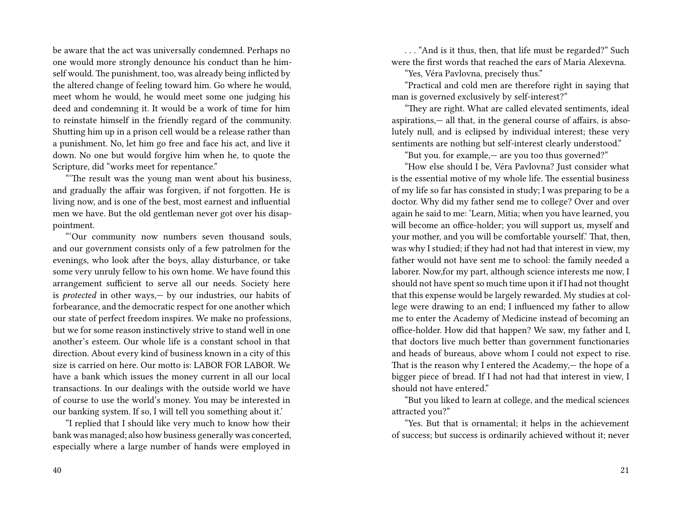be aware that the act was universally condemned. Perhaps no one would more strongly denounce his conduct than he himself would. The punishment, too, was already being inflicted by the altered change of feeling toward him. Go where he would, meet whom he would, he would meet some one judging his deed and condemning it. It would be a work of time for him to reinstate himself in the friendly regard of the community. Shutting him up in a prison cell would be a release rather than a punishment. No, let him go free and face his act, and live it down. No one but would forgive him when he, to quote the Scripture, did "works meet for repentance."

"'The result was the young man went about his business, and gradually the affair was forgiven, if not forgotten. He is living now, and is one of the best, most earnest and influential men we have. But the old gentleman never got over his disappointment.

"'Our community now numbers seven thousand souls, and our government consists only of a few patrolmen for the evenings, who look after the boys, allay disturbance, or take some very unruly fellow to his own home. We have found this arrangement sufficient to serve all our needs. Society here is *protected* in other ways,— by our industries, our habits of forbearance, and the democratic respect for one another which our state of perfect freedom inspires. We make no professions, but we for some reason instinctively strive to stand well in one another's esteem. Our whole life is a constant school in that direction. About every kind of business known in a city of this size is carried on here. Our motto is: LABOR FOR LABOR. We have a bank which issues the money current in all our local transactions. In our dealings with the outside world we have of course to use the world's money. You may be interested in our banking system. If so, I will tell you something about it.'

"I replied that I should like very much to know how their bank was managed; also how business generally was concerted, especially where a large number of hands were employed in

. . . "And is it thus, then, that life must be regarded?" Such were the first words that reached the ears of Maria Alexevna.

"Yes, Véra Pavlovna, precisely thus."

"Practical and cold men are therefore right in saying that man is governed exclusively by self-interest?"

"They are right. What are called elevated sentiments, ideal aspirations,— all that, in the general course of affairs, is absolutely null, and is eclipsed by individual interest; these very sentiments are nothing but self-interest clearly understood."

"But you. for example,— are you too thus governed?"

"How else should I be, Véra Pavlovna? Just consider what is the essential motive of my whole life. The essential business of my life so far has consisted in study; I was preparing to be a doctor. Why did my father send me to college? Over and over again he said to me: 'Learn, Mitia; when you have learned, you will become an office-holder; you will support us, myself and your mother, and you will be comfortable yourself.' That, then, was why I studied; if they had not had that interest in view, my father would not have sent me to school: the family needed a laborer. Now,for my part, although science interests me now, I should not have spent so much time upon it if I had not thought that this expense would be largely rewarded. My studies at college were drawing to an end; I influenced my father to allow me to enter the Academy of Medicine instead of becoming an office-holder. How did that happen? We saw, my father and I, that doctors live much better than government functionaries and heads of bureaus, above whom I could not expect to rise. That is the reason why I entered the Academy,— the hope of a bigger piece of bread. If I had not had that interest in view, I should not have entered."

"But you liked to learn at college, and the medical sciences attracted you?"

"Yes. But that is ornamental; it helps in the achievement of success; but success is ordinarily achieved without it; never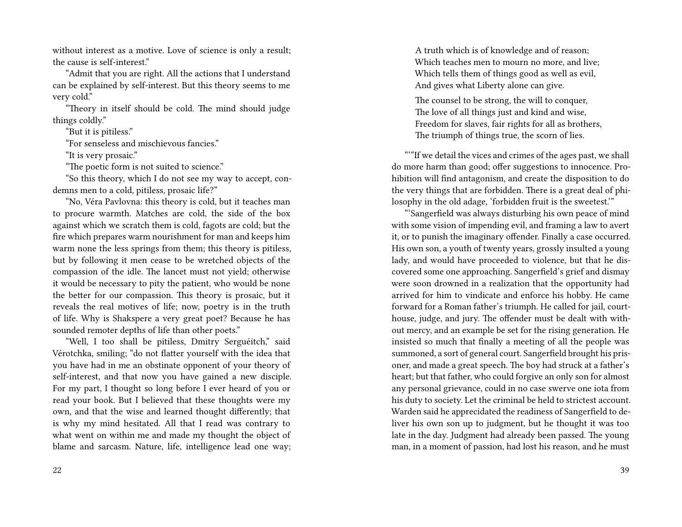without interest as a motive. Love of science is only a result; the cause is self-interest."

"Admit that you are right. All the actions that I understand can be explained by self-interest. But this theory seems to me very cold."

"Theory in itself should be cold. The mind should judge things coldly."

"But it is pitiless."

"For senseless and mischievous fancies."

"It is very prosaic."

"The poetic form is not suited to science."

"So this theory, which I do not see my way to accept, condemns men to a cold, pitiless, prosaic life?"

"No, Véra Pavlovna: this theory is cold, but it teaches man to procure warmth. Matches are cold, the side of the box against which we scratch them is cold, fagots are cold; but the fire which prepares warm nourishment for man and keeps him warm none the less springs from them; this theory is pitiless, but by following it men cease to be wretched objects of the compassion of the idle. The lancet must not yield; otherwise it would be necessary to pity the patient, who would be none the better for our compassion. This theory is prosaic, but it reveals the real motives of life; now, poetry is in the truth of life. Why is Shakspere a very great poet? Because he has sounded remoter depths of life than other poets."

"Well, I too shall be pitiless, Dmitry Serguéitch," said Vérotchka, smiling; "do not flatter yourself with the idea that you have had in me an obstinate opponent of your theory of self-interest, and that now you have gained a new disciple. For my part, I thought so long before I ever heard of you or read your book. But I believed that these thoughts were my own, and that the wise and learned thought differently; that is why my mind hesitated. All that I read was contrary to what went on within me and made my thought the object of blame and sarcasm. Nature, life, intelligence lead one way;

A truth which is of knowledge and of reason; Which teaches men to mourn no more, and live; Which tells them of things good as well as evil, And gives what Liberty alone can give.

The counsel to be strong, the will to conquer, The love of all things just and kind and wise, Freedom for slaves, fair rights for all as brothers, The triumph of things true, the scorn of lies.

"'"If we detail the vices and crimes of the ages past, we shall do more harm than good; offer suggestions to innocence. Prohibition will find antagonism, and create the disposition to do the very things that are forbidden. There is a great deal of philosophy in the old adage, 'forbidden fruit is the sweetest.'"

"'Sangerfield was always disturbing his own peace of mind with some vision of impending evil, and framing a law to avert it, or to punish the imaginary offender. Finally a case occurred. His own son, a youth of twenty years, grossly insulted a young lady, and would have proceeded to violence, but that he discovered some one approaching. Sangerfield's grief and dismay were soon drowned in a realization that the opportunity had arrived for him to vindicate and enforce his hobby. He came forward for a Roman father's triumph. He called for jail, courthouse, judge, and jury. The offender must be dealt with without mercy, and an example be set for the rising generation. He insisted so much that finally a meeting of all the people was summoned, a sort of general court. Sangerfield brought his prisoner, and made a great speech. The boy had struck at a father's heart; but that father, who could forgive an only son for almost any personal grievance, could in no case swerve one iota from his duty to society. Let the criminal be held to strictest account. Warden said he apprecidated the readiness of Sangerfield to deliver his own son up to judgment, but he thought it was too late in the day. Judgment had already been passed. The young man, in a moment of passion, had lost his reason, and he must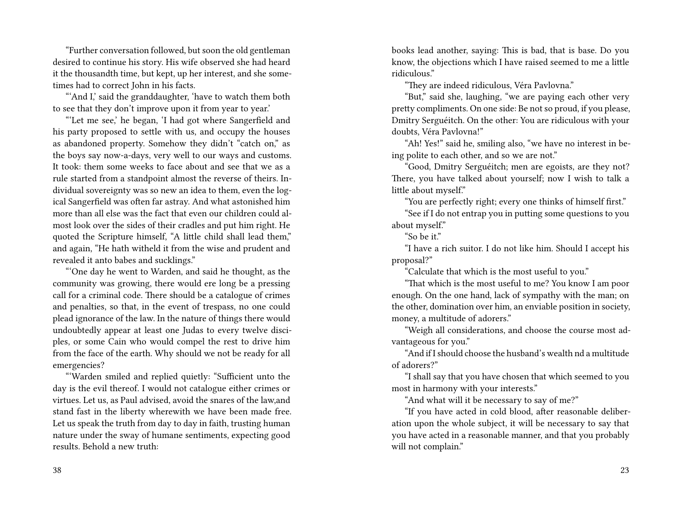"Further conversation followed, but soon the old gentleman desired to continue his story. His wife observed she had heard it the thousandth time, but kept, up her interest, and she sometimes had to correct John in his facts.

"'And I,' said the granddaughter, 'have to watch them both to see that they don't improve upon it from year to year.'

"'Let me see,' he began, 'I had got where Sangerfield and his party proposed to settle with us, and occupy the houses as abandoned property. Somehow they didn't "catch on," as the boys say now-a-days, very well to our ways and customs. It took: them some weeks to face about and see that we as a rule started from a standpoint almost the reverse of theirs. Individual sovereignty was so new an idea to them, even the logical Sangerfield was often far astray. And what astonished him more than all else was the fact that even our children could almost look over the sides of their cradles and put him right. He quoted the Scripture himself, "A little child shall lead them," and again, "He hath witheld it from the wise and prudent and revealed it anto babes and sucklings."

"'One day he went to Warden, and said he thought, as the community was growing, there would ere long be a pressing call for a criminal code. There should be a catalogue of crimes and penalties, so that, in the event of trespass, no one could plead ignorance of the law. In the nature of things there would undoubtedly appear at least one Judas to every twelve disciples, or some Cain who would compel the rest to drive him from the face of the earth. Why should we not be ready for all emergencies?

"'Warden smiled and replied quietly: "Sufficient unto the day is the evil thereof. I would not catalogue either crimes or virtues. Let us, as Paul advised, avoid the snares of the law,and stand fast in the liberty wherewith we have been made free. Let us speak the truth from day to day in faith, trusting human nature under the sway of humane sentiments, expecting good results. Behold a new truth:

38

books lead another, saying: This is bad, that is base. Do you know, the objections which I have raised seemed to me a little ridiculous."

"They are indeed ridiculous, Véra Pavlovna."

"But," said she, laughing, "we are paying each other very pretty compliments. On one side: Be not so proud, if you please, Dmitry Serguéitch. On the other: You are ridiculous with your doubts, Véra Pavlovna!"

"Ah! Yes!" said he, smiling also, "we have no interest in being polite to each other, and so we are not."

"Good, Dmitry Serguéitch; men are egoists, are they not? There, you have talked about yourself; now I wish to talk a little about myself."

"You are perfectly right; every one thinks of himself first."

"See if I do not entrap you in putting some questions to you about myself."

"So be it."

"I have a rich suitor. I do not like him. Should I accept his proposal?"

"Calculate that which is the most useful to you."

"That which is the most useful to me? You know I am poor enough. On the one hand, lack of sympathy with the man; on the other, domination over him, an enviable position in society, money, a multitude of adorers."

"Weigh all considerations, and choose the course most advantageous for you."

"And if I should choose the husband's wealth nd a multitude of adorers?"

"I shall say that you have chosen that which seemed to you most in harmony with your interests."

"And what will it be necessary to say of me?"

"If you have acted in cold blood, after reasonable deliberation upon the whole subject, it will be necessary to say that you have acted in a reasonable manner, and that you probably will not complain."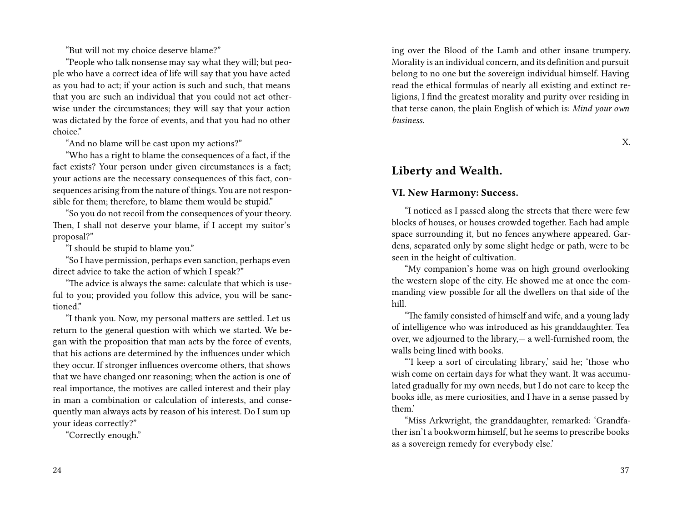"But will not my choice deserve blame?"

"People who talk nonsense may say what they will; but people who have a correct idea of life will say that you have acted as you had to act; if your action is such and such, that means that you are such an individual that you could not act otherwise under the circumstances; they will say that your action was dictated by the force of events, and that you had no other choice."

"And no blame will be cast upon my actions?"

"Who has a right to blame the consequences of a fact, if the fact exists? Your person under given circumstances is a fact; your actions are the necessary consequences of this fact, consequences arising from the nature of things. You are not responsible for them; therefore, to blame them would be stupid."

"So you do not recoil from the consequences of your theory. Then, I shall not deserve your blame, if I accept my suitor's proposal?"

"I should be stupid to blame you."

"So I have permission, perhaps even sanction, perhaps even direct advice to take the action of which I speak?"

"The advice is always the same: calculate that which is useful to you; provided you follow this advice, you will be sanctioned."

"I thank you. Now, my personal matters are settled. Let us return to the general question with which we started. We began with the proposition that man acts by the force of events, that his actions are determined by the influences under which they occur. If stronger influences overcome others, that shows that we have changed onr reasoning; when the action is one of real importance, the motives are called interest and their play in man a combination or calculation of interests, and consequently man always acts by reason of his interest. Do I sum up your ideas correctly?"

"Correctly enough."

ing over the Blood of the Lamb and other insane trumpery. Morality is an individual concern, and its definition and pursuit belong to no one but the sovereign individual himself. Having read the ethical formulas of nearly all existing and extinct religions, I find the greatest morality and purity over residing in that terse canon, the plain English of which is: *Mind your own business.*

X.

## **Liberty and Wealth.**

### **VI. New Harmony: Success.**

"I noticed as I passed along the streets that there were few blocks of houses, or houses crowded together. Each had ample space surrounding it, but no fences anywhere appeared. Gardens, separated only by some slight hedge or path, were to be seen in the height of cultivation.

"My companion's home was on high ground overlooking the western slope of the city. He showed me at once the commanding view possible for all the dwellers on that side of the hill.

"The family consisted of himself and wife, and a young lady of intelligence who was introduced as his granddaughter. Tea over, we adjourned to the library,— a well-furnished room, the walls being lined with books.

"'I keep a sort of circulating library,' said he; 'those who wish come on certain days for what they want. It was accumulated gradually for my own needs, but I do not care to keep the books idle, as mere curiosities, and I have in a sense passed by them.'

"Miss Arkwright, the granddaughter, remarked: 'Grandfather isn't a bookworm himself, but he seems to prescribe books as a sovereign remedy for everybody else.'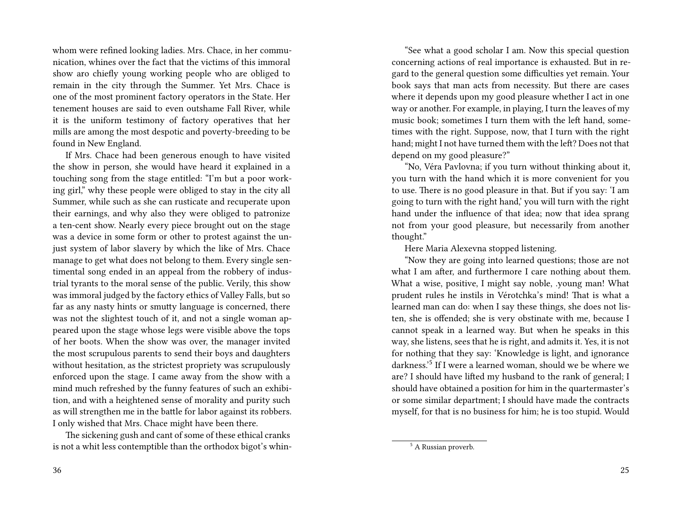whom were refined looking ladies. Mrs. Chace, in her communication, whines over the fact that the victims of this immoral show aro chiefly young working people who are obliged to remain in the city through the Summer. Yet Mrs. Chace is one of the most prominent factory operators in the State. Her tenement houses are said to even outshame Fall River, while it is the uniform testimony of factory operatives that her mills are among the most despotic and poverty-breeding to be found in New England.

If Mrs. Chace had been generous enough to have visited the show in person, she would have heard it explained in a touching song from the stage entitled: "I'm but a poor working girl," why these people were obliged to stay in the city all Summer, while such as she can rusticate and recuperate upon their earnings, and why also they were obliged to patronize a ten-cent show. Nearly every piece brought out on the stage was a device in some form or other to protest against the unjust system of labor slavery by which the like of Mrs. Chace manage to get what does not belong to them. Every single sentimental song ended in an appeal from the robbery of industrial tyrants to the moral sense of the public. Verily, this show was immoral judged by the factory ethics of Valley Falls, but so far as any nasty hints or smutty language is concerned, there was not the slightest touch of it, and not a single woman appeared upon the stage whose legs were visible above the tops of her boots. When the show was over, the manager invited the most scrupulous parents to send their boys and daughters without hesitation, as the strictest propriety was scrupulously enforced upon the stage. I came away from the show with a mind much refreshed by the funny features of such an exhibition, and with a heightened sense of morality and purity such as will strengthen me in the battle for labor against its robbers. I only wished that Mrs. Chace might have been there.

The sickening gush and cant of some of these ethical cranks is not a whit less contemptible than the orthodox bigot's whin-

"See what a good scholar I am. Now this special question concerning actions of real importance is exhausted. But in regard to the general question some difficulties yet remain. Your book says that man acts from necessity. But there are cases where it depends upon my good pleasure whether I act in one way or another. For example, in playing, I turn the leaves of my music book; sometimes I turn them with the left hand, sometimes with the right. Suppose, now, that I turn with the right hand; might I not have turned them with the left? Does not that depend on my good pleasure?"

"No, Véra Pavlovna; if you turn without thinking about it, you turn with the hand which it is more convenient for you to use. There is no good pleasure in that. But if you say: 'I am going to turn with the right hand,' you will turn with the right hand under the influence of that idea; now that idea sprang not from your good pleasure, but necessarily from another thought."

Here Maria Alexevna stopped listening.

"Now they are going into learned questions; those are not what I am after, and furthermore I care nothing about them. What a wise, positive, I might say noble, .young man! What prudent rules he instils in Vérotchka's mind! That is what a learned man can do: when I say these things, she does not listen, she is offended; she is very obstinate with me, because I cannot speak in a learned way. But when he speaks in this way, she listens, sees that he is right, and admits it. Yes, it is not for nothing that they say: 'Knowledge is light, and ignorance darkness.'<sup>5</sup> If I were a learned woman, should we be where we are? I should have lifted my husband to the rank of general; I should have obtained a position for him in the quartermaster's or some similar department; I should have made the contracts myself, for that is no business for him; he is too stupid. Would

<sup>5</sup> A Russian proverb.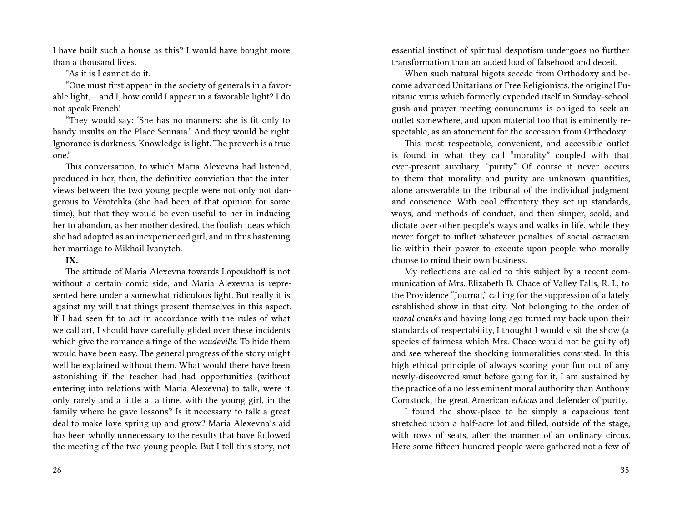I have built such a house as this? I would have bought more than a thousand lives.

"As it is I cannot do it.

"One must first appear in the society of generals in a favorable light,— and I, how could I appear in a favorable light? I do not speak French!

"They would say: 'She has no manners; she is fit only to bandy insults on the Place Sennaia.' And they would be right. Ignorance is darkness. Knowledge is light. The proverb is a true one."

This conversation, to which Maria Alexevna had listened, produced in her, then, the definitive conviction that the interviews between the two young people were not only not dangerous to Vérotchka (she had been of that opinion for some time), but that they would be even useful to her in inducing her to abandon, as her mother desired, the foolish ideas which she had adopted as an inexperienced girl, and in thus hastening her marriage to Mikhail Ivanytch.

### **IX.**

The attitude of Maria Alexevna towards Lopoukhoff is not without a certain comic side, and Maria Alexevna is represented here under a somewhat ridiculous light. But really it is against my will that things present themselves in this aspect. If I had seen fit to act in accordance with the rules of what we call art, I should have carefully glided over these incidents which give the romance a tinge of the *vaudeville*. To hide them would have been easy. The general progress of the story might well be explained without them. What would there have been astonishing if the teacher had had opportunities (without entering into relations with Maria Alexevna) to talk, were it only rarely and a little at a time, with the young girl, in the family where he gave lessons? Is it necessary to talk a great deal to make love spring up and grow? Maria Alexevna's aid has been wholly unnecessary to the results that have followed the meeting of the two young people. But I tell this story, not

essential instinct of spiritual despotism undergoes no further transformation than an added load of falsehood and deceit.

When such natural bigots secede from Orthodoxy and become advanced Unitarians or Free Religionists, the original Puritanic virus which formerly expended itself in Sunday-school gush and prayer-meeting conundrums is obliged to seek an outlet somewhere, and upon material too that is eminently respectable, as an atonement for the secession from Orthodoxy.

This most respectable, convenient, and accessible outlet is found in what they call "morality" coupled with that ever-present auxiliary, "purity." Of course it never occurs to them that morality and purity are unknown quantities, alone answerable to the tribunal of the individual judgment and conscience. With cool effrontery they set up standards, ways, and methods of conduct, and then simper, scold, and dictate over other people's ways and walks in life, while they never forget to inflict whatever penalties of social ostracism lie within their power to execute upon people who morally choose to mind their own business.

My reflections are called to this subject by a recent communication of Mrs. Elizabeth B. Chace of Valley Falls, R. I., to the Providence "Journal," calling for the suppression of a lately established show in that city. Not belonging to the order of *moral cranks* and having long ago turned my back upon their standards of respectability, I thought I would visit the show (a species of fairness which Mrs. Chace would not be guilty of) and see whereof the shocking immoralities consisted. In this high ethical principle of always scoring your fun out of any newly-discovered smut before going for it, I am sustained by the practice of a no less eminent moral authority than Anthony Comstock, the great American *ethicus* and defender of purity.

I found the show-place to be simply a capacious tent stretched upon a half-acre lot and filled, outside of the stage, with rows of seats, after the manner of an ordinary circus. Here some fifteen hundred people were gathered not a few of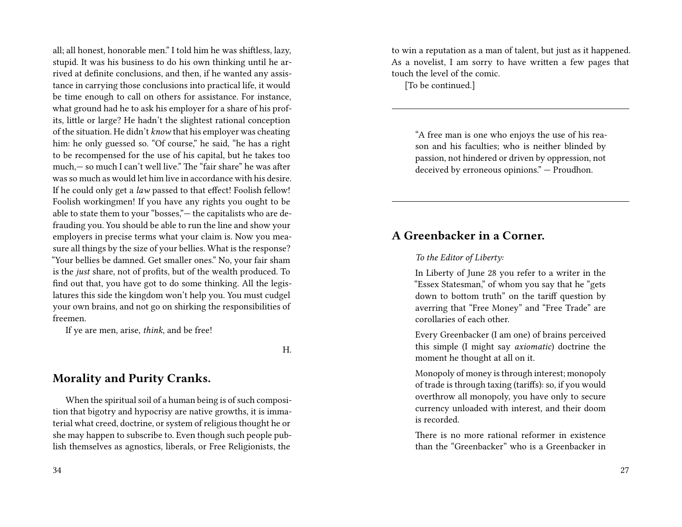all; all honest, honorable men." I told him he was shiftless, lazy, stupid. It was his business to do his own thinking until he arrived at definite conclusions, and then, if he wanted any assistance in carrying those conclusions into practical life, it would be time enough to call on others for assistance. For instance, what ground had he to ask his employer for a share of his profits, little or large? He hadn't the slightest rational conception of the situation. He didn't *know* that his employer was cheating him: he only guessed so. "Of course," he said, "he has a right to be recompensed for the use of his capital, but he takes too much,— so much I can't well live." The "fair share" he was after was so much as would let him live in accordance with his desire. If he could only get a *law* passed to that effect! Foolish fellow! Foolish workingmen! If you have any rights you ought to be able to state them to your "bosses,"— the capitalists who are defrauding you. You should be able to run the line and show your employers in precise terms what your claim is. Now you measure all things by the size of your bellies. What is the response? "Your bellies be damned. Get smaller ones." No, your fair sham is the *just* share, not of profits, but of the wealth produced. To find out that, you have got to do some thinking. All the legislatures this side the kingdom won't help you. You must cudgel your own brains, and not go on shirking the responsibilities of freemen.

If ye are men, arise, *think*, and be free!

H.

# **Morality and Purity Cranks.**

When the spiritual soil of a human being is of such composition that bigotry and hypocrisy are native growths, it is immaterial what creed, doctrine, or system of religious thought he or she may happen to subscribe to. Even though such people publish themselves as agnostics, liberals, or Free Religionists, the

to win a reputation as a man of talent, but just as it happened. As a novelist, I am sorry to have written a few pages that touch the level of the comic.

[To be continued.]

"A free man is one who enjoys the use of his reason and his faculties; who is neither blinded by passion, not hindered or driven by oppression, not deceived by erroneous opinions." — Proudhon.

# **A Greenbacker in a Corner.**

### *To the Editor of Liberty:*

In Liberty of June 28 you refer to a writer in the "Essex Statesman," of whom you say that he "gets down to bottom truth" on the tariff question by averring that "Free Money" and "Free Trade" are corollaries of each other.

Every Greenbacker (I am one) of brains perceived this simple (I might say *axiomatic*) doctrine the moment he thought at all on it.

Monopoly of money is through interest; monopoly of trade is through taxing (tariffs): so, if you would overthrow all monopoly, you have only to secure currency unloaded with interest, and their doom is recorded.

There is no more rational reformer in existence than the "Greenbacker" who is a Greenbacker in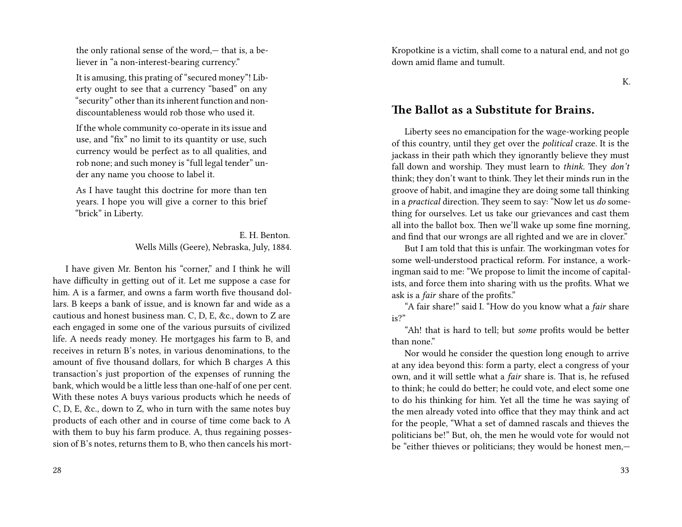the only rational sense of the word,— that is, a believer in "a non-interest-bearing currency."

It is amusing, this prating of "secured money"! Liberty ought to see that a currency "based" on any "security" other than its inherent function and nondiscountableness would rob those who used it.

If the whole community co-operate in its issue and use, and "fix" no limit to its quantity or use, such currency would be perfect as to all qualities, and rob none; and such money is "full legal tender" under any name you choose to label it.

As I have taught this doctrine for more than ten years. I hope you will give a corner to this brief "brick" in Liberty.

> E. H. Benton. Wells Mills (Geere), Nebraska, July, 1884.

I have given Mr. Benton his "corner," and I think he will have difficulty in getting out of it. Let me suppose a case for him. A is a farmer, and owns a farm worth five thousand dollars. B keeps a bank of issue, and is known far and wide as a cautious and honest business man. C, D, E, &c., down to Z are each engaged in some one of the various pursuits of civilized life. A needs ready money. He mortgages his farm to B, and receives in return B's notes, in various denominations, to the amount of five thousand dollars, for which B charges A this transaction's just proportion of the expenses of running the bank, which would be a little less than one-half of one per cent. With these notes A buys various products which he needs of C, D, E, &c., down to Z, who in turn with the same notes buy products of each other and in course of time come back to A with them to buy his farm produce. A, thus regaining possession of B's notes, returns them to B, who then cancels his mort-

28

Kropotkine is a victim, shall come to a natural end, and not go down amid flame and tumult.

K.

# **The Ballot as a Substitute for Brains.**

Liberty sees no emancipation for the wage-working people of this country, until they get over the *political* craze. It is the jackass in their path which they ignorantly believe they must fall down and worship. They must learn to *think*. They *don't* think; they don't want to think. They let their minds run in the groove of habit, and imagine they are doing some tall thinking in a *practical* direction. They seem to say: "Now let us *do* something for ourselves. Let us take our grievances and cast them all into the ballot box. Then we'll wake up some fine morning, and find that our wrongs are all righted and we are in clover."

But I am told that this is unfair. The workingman votes for some well-understood practical reform. For instance, a workingman said to me: "We propose to limit the income of capitalists, and force them into sharing with us the profits. What we ask is a *fair* share of the profits."

"A fair share!" said I. "How do you know what a *fair* share is?"

"Ah! that is hard to tell; but *some* profits would be better than none"

Nor would he consider the question long enough to arrive at any idea beyond this: form a party, elect a congress of your own, and it will settle what a *fair* share is. That is, he refused to think; he could do better; he could vote, and elect some one to do his thinking for him. Yet all the time he was saying of the men already voted into office that they may think and act for the people, "What a set of damned rascals and thieves the politicians be!" But, oh, the men he would vote for would not be "either thieves or politicians; they would be honest men,—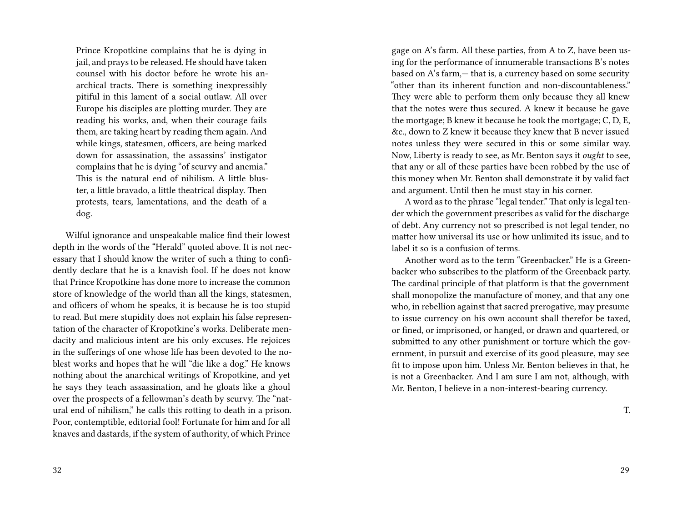Prince Kropotkine complains that he is dying in jail, and prays to be released. He should have taken counsel with his doctor before he wrote his anarchical tracts. There is something inexpressibly pitiful in this lament of a social outlaw. All over Europe his disciples are plotting murder. They are reading his works, and, when their courage fails them, are taking heart by reading them again. And while kings, statesmen, officers, are being marked down for assassination, the assassins' instigator complains that he is dying "of scurvy and anemia." This is the natural end of nihilism. A little bluster, a little bravado, a little theatrical display. Then protests, tears, lamentations, and the death of a dog.

Wilful ignorance and unspeakable malice find their lowest depth in the words of the "Herald" quoted above. It is not necessary that I should know the writer of such a thing to confidently declare that he is a knavish fool. If he does not know that Prince Kropotkine has done more to increase the common store of knowledge of the world than all the kings, statesmen, and officers of whom he speaks, it is because he is too stupid to read. But mere stupidity does not explain his false representation of the character of Kropotkine's works. Deliberate mendacity and malicious intent are his only excuses. He rejoices in the sufferings of one whose life has been devoted to the noblest works and hopes that he will "die like a dog." He knows nothing about the anarchical writings of Kropotkine, and yet he says they teach assassination, and he gloats like a ghoul over the prospects of a fellowman's death by scurvy. The "natural end of nihilism," he calls this rotting to death in a prison. Poor, contemptible, editorial fool! Fortunate for him and for all knaves and dastards, if the system of authority, of which Prince

gage on A's farm. All these parties, from A to Z, have been using for the performance of innumerable transactions B's notes based on A's farm,— that is, a currency based on some security "other than its inherent function and non-discountableness." They were able to perform them only because they all knew that the notes were thus secured. A knew it because he gave the mortgage; B knew it because he took the mortgage; C, D, E, &c., down to Z knew it because they knew that B never issued notes unless they were secured in this or some similar way. Now, Liberty is ready to see, as Mr. Benton says it *ought* to see, that any or all of these parties have been robbed by the use of this money when Mr. Benton shall demonstrate it by valid fact and argument. Until then he must stay in his corner.

A word as to the phrase "legal tender." That only is legal tender which the government prescribes as valid for the discharge of debt. Any currency not so prescribed is not legal tender, no matter how universal its use or how unlimited its issue, and to label it so is a confusion of terms.

Another word as to the term "Greenbacker." He is a Greenbacker who subscribes to the platform of the Greenback party. The cardinal principle of that platform is that the government shall monopolize the manufacture of money, and that any one who, in rebellion against that sacred prerogative, may presume to issue currency on his own account shall therefor be taxed, or fined, or imprisoned, or hanged, or drawn and quartered, or submitted to any other punishment or torture which the government, in pursuit and exercise of its good pleasure, may see fit to impose upon him. Unless Mr. Benton believes in that, he is not a Greenbacker. And I am sure I am not, although, with Mr. Benton, I believe in a non-interest-bearing currency.